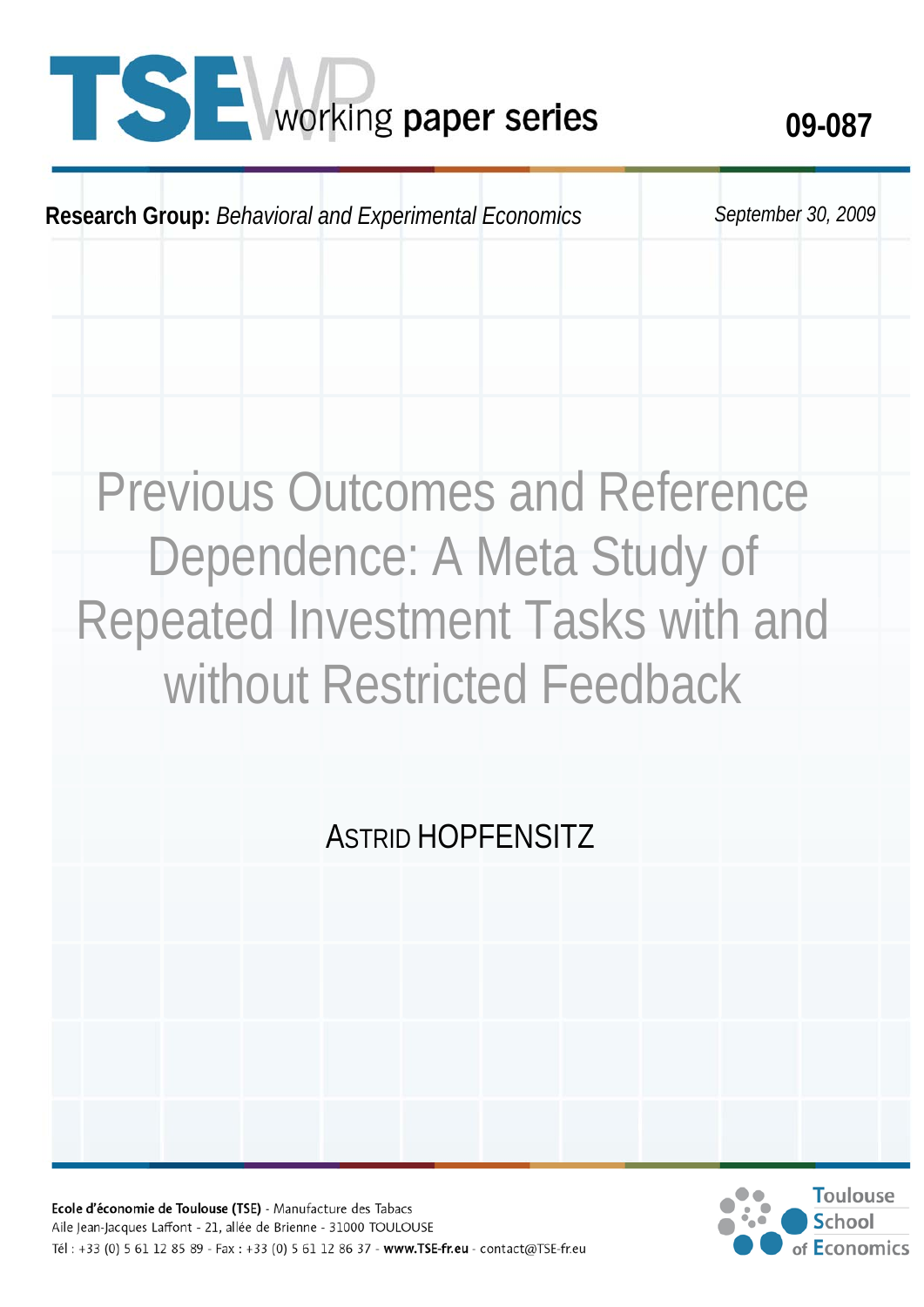# **1 SE** working paper series 09-087

**Research Group:** *Behavioral and Experimental Economics September 30, 2009* 

## Previous Outcomes and Reference Dependence: A Meta Study of Repeated Investment Tasks with and without Restricted Feedback

### ASTRID HOPFENSITZ

Ecole d'économie de Toulouse (TSE) - Manufacture des Tabacs Aile Jean-Jacques Laffont - 21, allée de Brienne - 31000 TOULOUSE Tél: +33 (0) 5 61 12 85 89 - Fax: +33 (0) 5 61 12 86 37 - www.TSE-fr.eu - contact@TSE-fr.eu

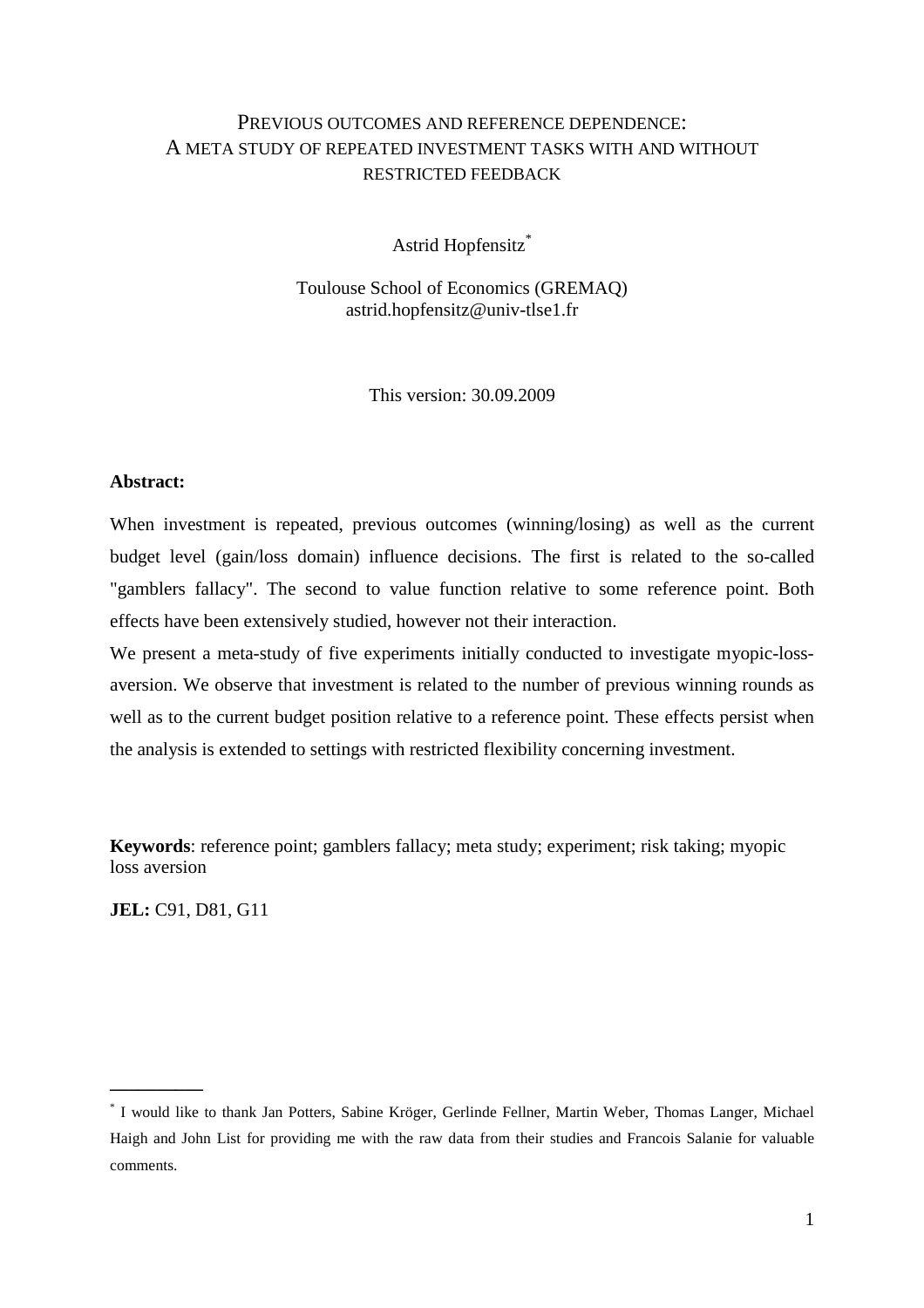#### PREVIOUS OUTCOMES AND REFERENCE DEPENDENCE: A META STUDY OF REPEATED INVESTMENT TASKS WITH AND WITHOUT RESTRICTED FEEDBACK

Astrid Hopfensitz\*

Toulouse School of Economics (GREMAQ) astrid.hopfensitz@univ-tlse1.fr

This version: 30.09.2009

#### **Abstract:**

When investment is repeated, previous outcomes (winning/losing) as well as the current budget level (gain/loss domain) influence decisions. The first is related to the so-called "gamblers fallacy". The second to value function relative to some reference point. Both effects have been extensively studied, however not their interaction.

We present a meta-study of five experiments initially conducted to investigate myopic-lossaversion. We observe that investment is related to the number of previous winning rounds as well as to the current budget position relative to a reference point. These effects persist when the analysis is extended to settings with restricted flexibility concerning investment.

**Keywords**: reference point; gamblers fallacy; meta study; experiment; risk taking; myopic loss aversion

**JEL:** C91, D81, G11

**\_\_\_\_\_\_\_\_\_\_** 

<sup>\*</sup> I would like to thank Jan Potters, Sabine Kröger, Gerlinde Fellner, Martin Weber, Thomas Langer, Michael Haigh and John List for providing me with the raw data from their studies and Francois Salanie for valuable comments.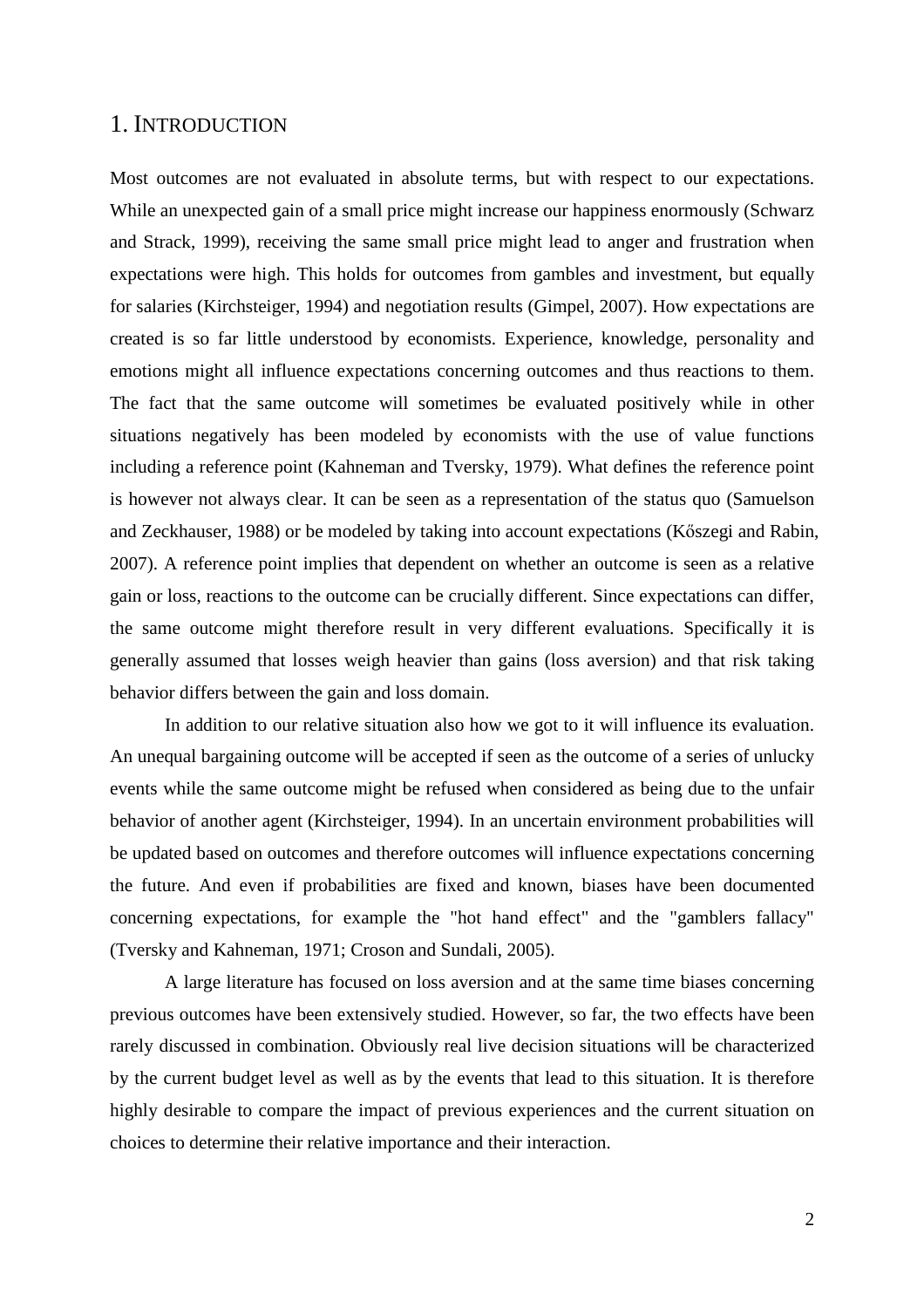#### 1. INTRODUCTION

Most outcomes are not evaluated in absolute terms, but with respect to our expectations. While an unexpected gain of a small price might increase our happiness enormously (Schwarz and Strack, 1999), receiving the same small price might lead to anger and frustration when expectations were high. This holds for outcomes from gambles and investment, but equally for salaries (Kirchsteiger, 1994) and negotiation results (Gimpel, 2007). How expectations are created is so far little understood by economists. Experience, knowledge, personality and emotions might all influence expectations concerning outcomes and thus reactions to them. The fact that the same outcome will sometimes be evaluated positively while in other situations negatively has been modeled by economists with the use of value functions including a reference point (Kahneman and Tversky, 1979). What defines the reference point is however not always clear. It can be seen as a representation of the status quo (Samuelson and Zeckhauser, 1988) or be modeled by taking into account expectations (Köszegi and Rabin, 2007). A reference point implies that dependent on whether an outcome is seen as a relative gain or loss, reactions to the outcome can be crucially different. Since expectations can differ, the same outcome might therefore result in very different evaluations. Specifically it is generally assumed that losses weigh heavier than gains (loss aversion) and that risk taking behavior differs between the gain and loss domain.

In addition to our relative situation also how we got to it will influence its evaluation. An unequal bargaining outcome will be accepted if seen as the outcome of a series of unlucky events while the same outcome might be refused when considered as being due to the unfair behavior of another agent (Kirchsteiger, 1994). In an uncertain environment probabilities will be updated based on outcomes and therefore outcomes will influence expectations concerning the future. And even if probabilities are fixed and known, biases have been documented concerning expectations, for example the "hot hand effect" and the "gamblers fallacy" (Tversky and Kahneman, 1971; Croson and Sundali, 2005).

A large literature has focused on loss aversion and at the same time biases concerning previous outcomes have been extensively studied. However, so far, the two effects have been rarely discussed in combination. Obviously real live decision situations will be characterized by the current budget level as well as by the events that lead to this situation. It is therefore highly desirable to compare the impact of previous experiences and the current situation on choices to determine their relative importance and their interaction.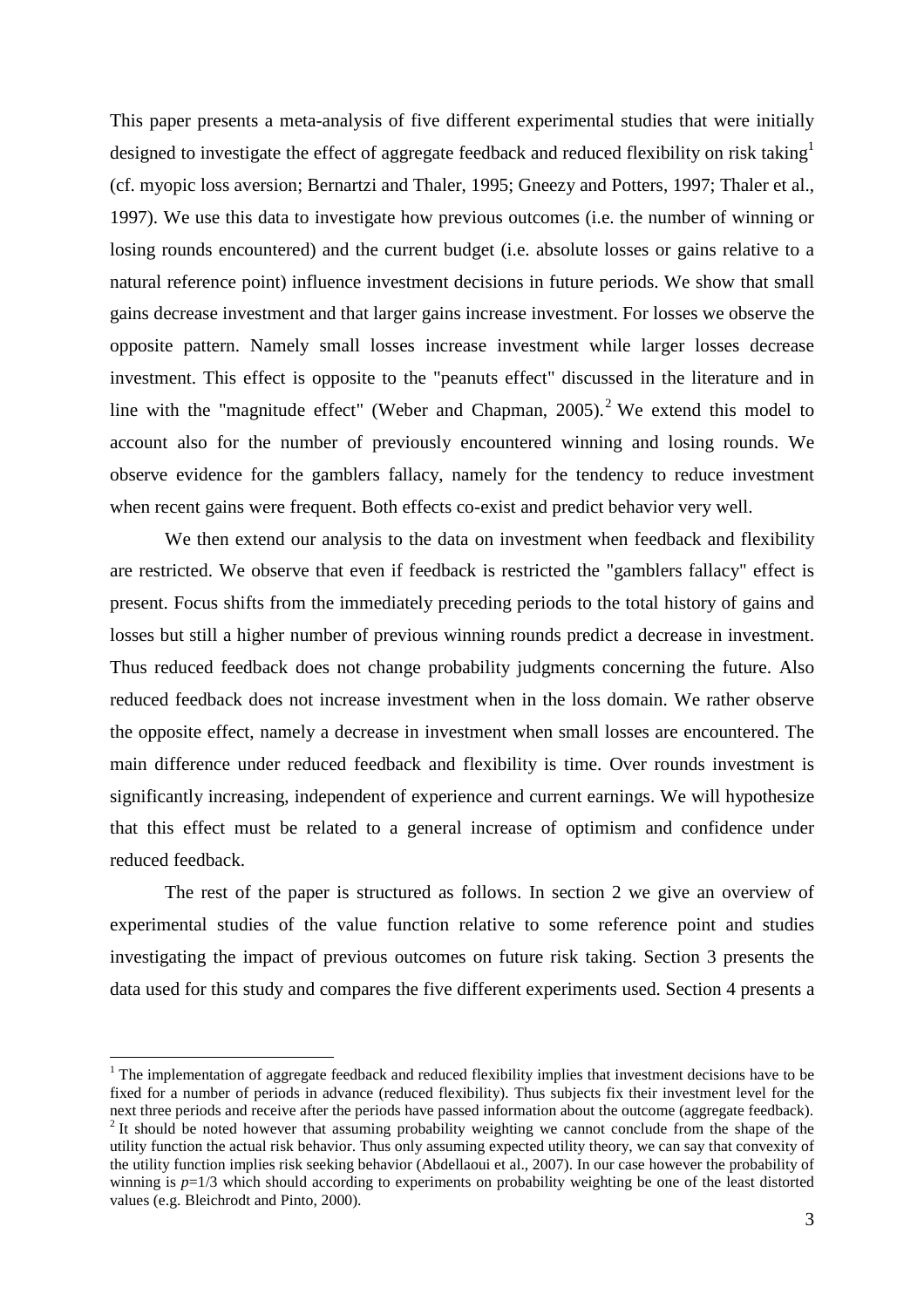This paper presents a meta-analysis of five different experimental studies that were initially designed to investigate the effect of aggregate feedback and reduced flexibility on risk taking<sup>1</sup> (cf. myopic loss aversion; Bernartzi and Thaler, 1995; Gneezy and Potters, 1997; Thaler et al., 1997). We use this data to investigate how previous outcomes (i.e. the number of winning or losing rounds encountered) and the current budget (i.e. absolute losses or gains relative to a natural reference point) influence investment decisions in future periods. We show that small gains decrease investment and that larger gains increase investment. For losses we observe the opposite pattern. Namely small losses increase investment while larger losses decrease investment. This effect is opposite to the "peanuts effect" discussed in the literature and in line with the "magnitude effect" (Weber and Chapman,  $2005$ ).<sup>2</sup> We extend this model to account also for the number of previously encountered winning and losing rounds. We observe evidence for the gamblers fallacy, namely for the tendency to reduce investment when recent gains were frequent. Both effects co-exist and predict behavior very well.

We then extend our analysis to the data on investment when feedback and flexibility are restricted. We observe that even if feedback is restricted the "gamblers fallacy" effect is present. Focus shifts from the immediately preceding periods to the total history of gains and losses but still a higher number of previous winning rounds predict a decrease in investment. Thus reduced feedback does not change probability judgments concerning the future. Also reduced feedback does not increase investment when in the loss domain. We rather observe the opposite effect, namely a decrease in investment when small losses are encountered. The main difference under reduced feedback and flexibility is time. Over rounds investment is significantly increasing, independent of experience and current earnings. We will hypothesize that this effect must be related to a general increase of optimism and confidence under reduced feedback.

The rest of the paper is structured as follows. In section 2 we give an overview of experimental studies of the value function relative to some reference point and studies investigating the impact of previous outcomes on future risk taking. Section 3 presents the data used for this study and compares the five different experiments used. Section 4 presents a

 $1$  The implementation of aggregate feedback and reduced flexibility implies that investment decisions have to be fixed for a number of periods in advance (reduced flexibility). Thus subjects fix their investment level for the next three periods and receive after the periods have passed information about the outcome (aggregate feedback).

 $2$  It should be noted however that assuming probability weighting we cannot conclude from the shape of the utility function the actual risk behavior. Thus only assuming expected utility theory, we can say that convexity of the utility function implies risk seeking behavior (Abdellaoui et al., 2007). In our case however the probability of winning is  $p=1/3$  which should according to experiments on probability weighting be one of the least distorted values (e.g. Bleichrodt and Pinto, 2000).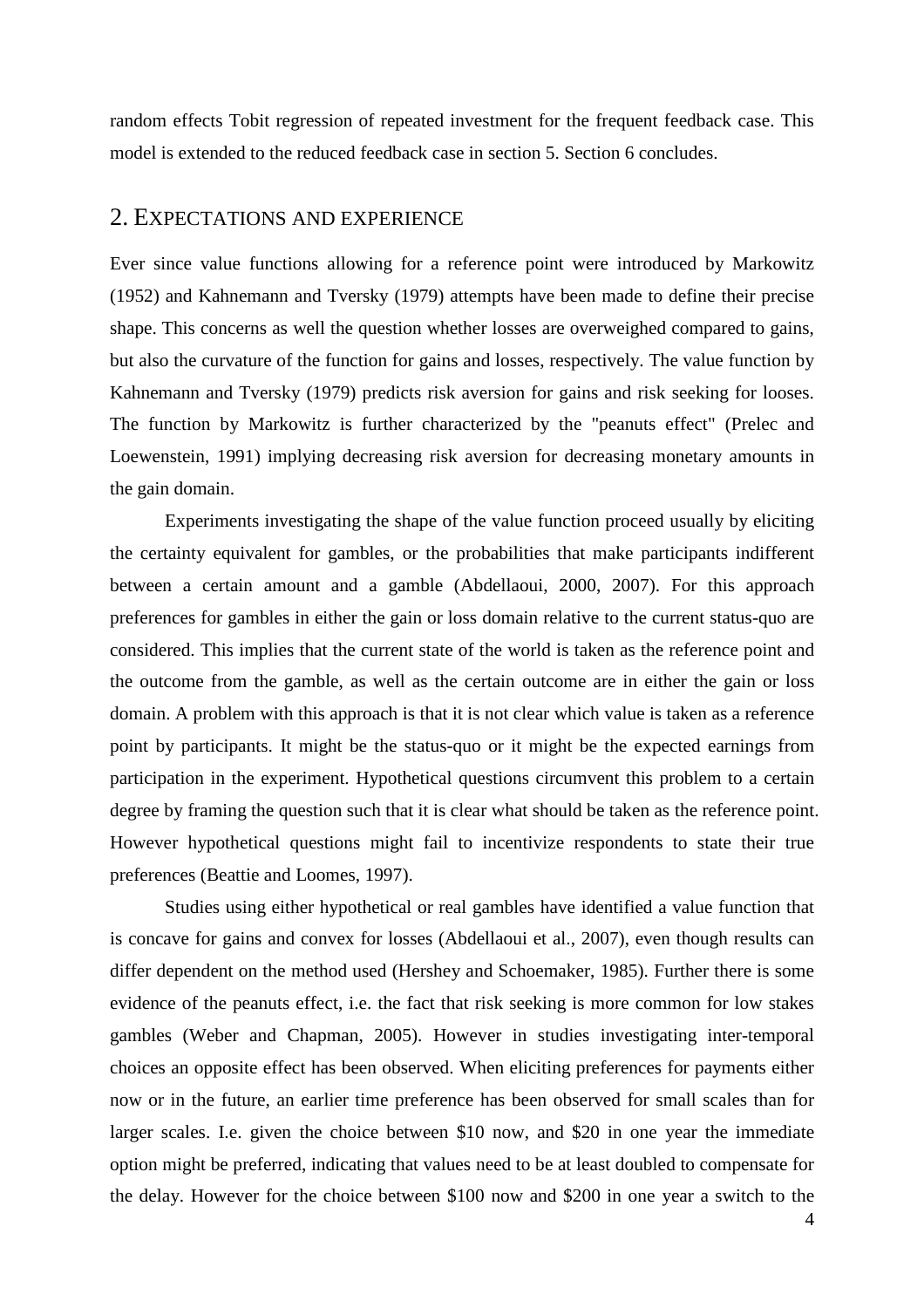random effects Tobit regression of repeated investment for the frequent feedback case. This model is extended to the reduced feedback case in section 5. Section 6 concludes.

#### 2. EXPECTATIONS AND EXPERIENCE

Ever since value functions allowing for a reference point were introduced by Markowitz (1952) and Kahnemann and Tversky (1979) attempts have been made to define their precise shape. This concerns as well the question whether losses are overweighed compared to gains, but also the curvature of the function for gains and losses, respectively. The value function by Kahnemann and Tversky (1979) predicts risk aversion for gains and risk seeking for looses. The function by Markowitz is further characterized by the "peanuts effect" (Prelec and Loewenstein, 1991) implying decreasing risk aversion for decreasing monetary amounts in the gain domain.

Experiments investigating the shape of the value function proceed usually by eliciting the certainty equivalent for gambles, or the probabilities that make participants indifferent between a certain amount and a gamble (Abdellaoui, 2000, 2007). For this approach preferences for gambles in either the gain or loss domain relative to the current status-quo are considered. This implies that the current state of the world is taken as the reference point and the outcome from the gamble, as well as the certain outcome are in either the gain or loss domain. A problem with this approach is that it is not clear which value is taken as a reference point by participants. It might be the status-quo or it might be the expected earnings from participation in the experiment. Hypothetical questions circumvent this problem to a certain degree by framing the question such that it is clear what should be taken as the reference point. However hypothetical questions might fail to incentivize respondents to state their true preferences (Beattie and Loomes, 1997).

Studies using either hypothetical or real gambles have identified a value function that is concave for gains and convex for losses (Abdellaoui et al., 2007), even though results can differ dependent on the method used (Hershey and Schoemaker, 1985). Further there is some evidence of the peanuts effect, i.e. the fact that risk seeking is more common for low stakes gambles (Weber and Chapman, 2005). However in studies investigating inter-temporal choices an opposite effect has been observed. When eliciting preferences for payments either now or in the future, an earlier time preference has been observed for small scales than for larger scales. I.e. given the choice between \$10 now, and \$20 in one year the immediate option might be preferred, indicating that values need to be at least doubled to compensate for the delay. However for the choice between \$100 now and \$200 in one year a switch to the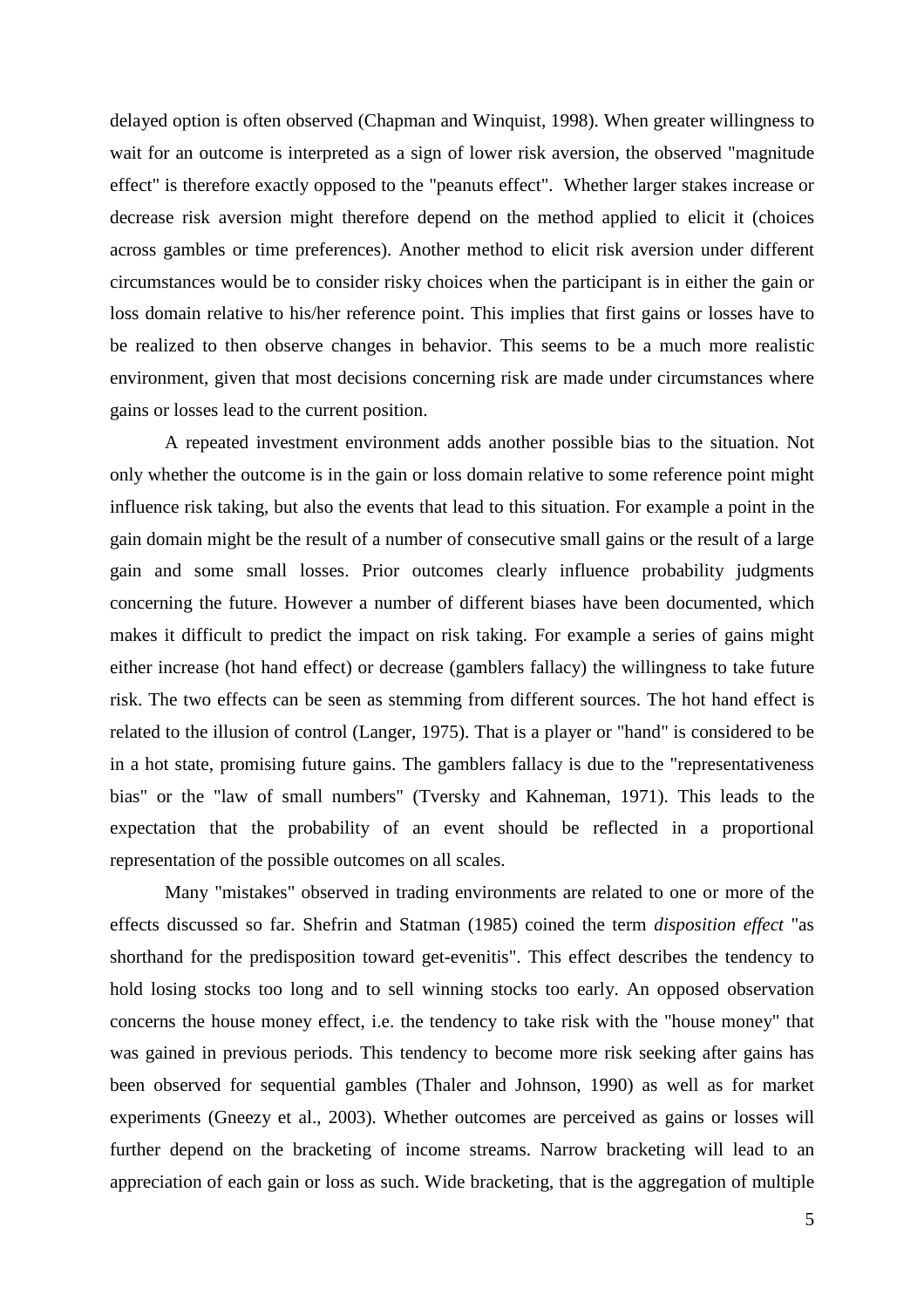delayed option is often observed (Chapman and Winquist, 1998). When greater willingness to wait for an outcome is interpreted as a sign of lower risk aversion, the observed "magnitude effect" is therefore exactly opposed to the "peanuts effect". Whether larger stakes increase or decrease risk aversion might therefore depend on the method applied to elicit it (choices across gambles or time preferences). Another method to elicit risk aversion under different circumstances would be to consider risky choices when the participant is in either the gain or loss domain relative to his/her reference point. This implies that first gains or losses have to be realized to then observe changes in behavior. This seems to be a much more realistic environment, given that most decisions concerning risk are made under circumstances where gains or losses lead to the current position.

A repeated investment environment adds another possible bias to the situation. Not only whether the outcome is in the gain or loss domain relative to some reference point might influence risk taking, but also the events that lead to this situation. For example a point in the gain domain might be the result of a number of consecutive small gains or the result of a large gain and some small losses. Prior outcomes clearly influence probability judgments concerning the future. However a number of different biases have been documented, which makes it difficult to predict the impact on risk taking. For example a series of gains might either increase (hot hand effect) or decrease (gamblers fallacy) the willingness to take future risk. The two effects can be seen as stemming from different sources. The hot hand effect is related to the illusion of control (Langer, 1975). That is a player or "hand" is considered to be in a hot state, promising future gains. The gamblers fallacy is due to the "representativeness bias" or the "law of small numbers" (Tversky and Kahneman, 1971). This leads to the expectation that the probability of an event should be reflected in a proportional representation of the possible outcomes on all scales.

Many "mistakes" observed in trading environments are related to one or more of the effects discussed so far. Shefrin and Statman (1985) coined the term *disposition effect* "as shorthand for the predisposition toward get-evenitis". This effect describes the tendency to hold losing stocks too long and to sell winning stocks too early. An opposed observation concerns the house money effect, i.e. the tendency to take risk with the "house money" that was gained in previous periods. This tendency to become more risk seeking after gains has been observed for sequential gambles (Thaler and Johnson, 1990) as well as for market experiments (Gneezy et al., 2003). Whether outcomes are perceived as gains or losses will further depend on the bracketing of income streams. Narrow bracketing will lead to an appreciation of each gain or loss as such. Wide bracketing, that is the aggregation of multiple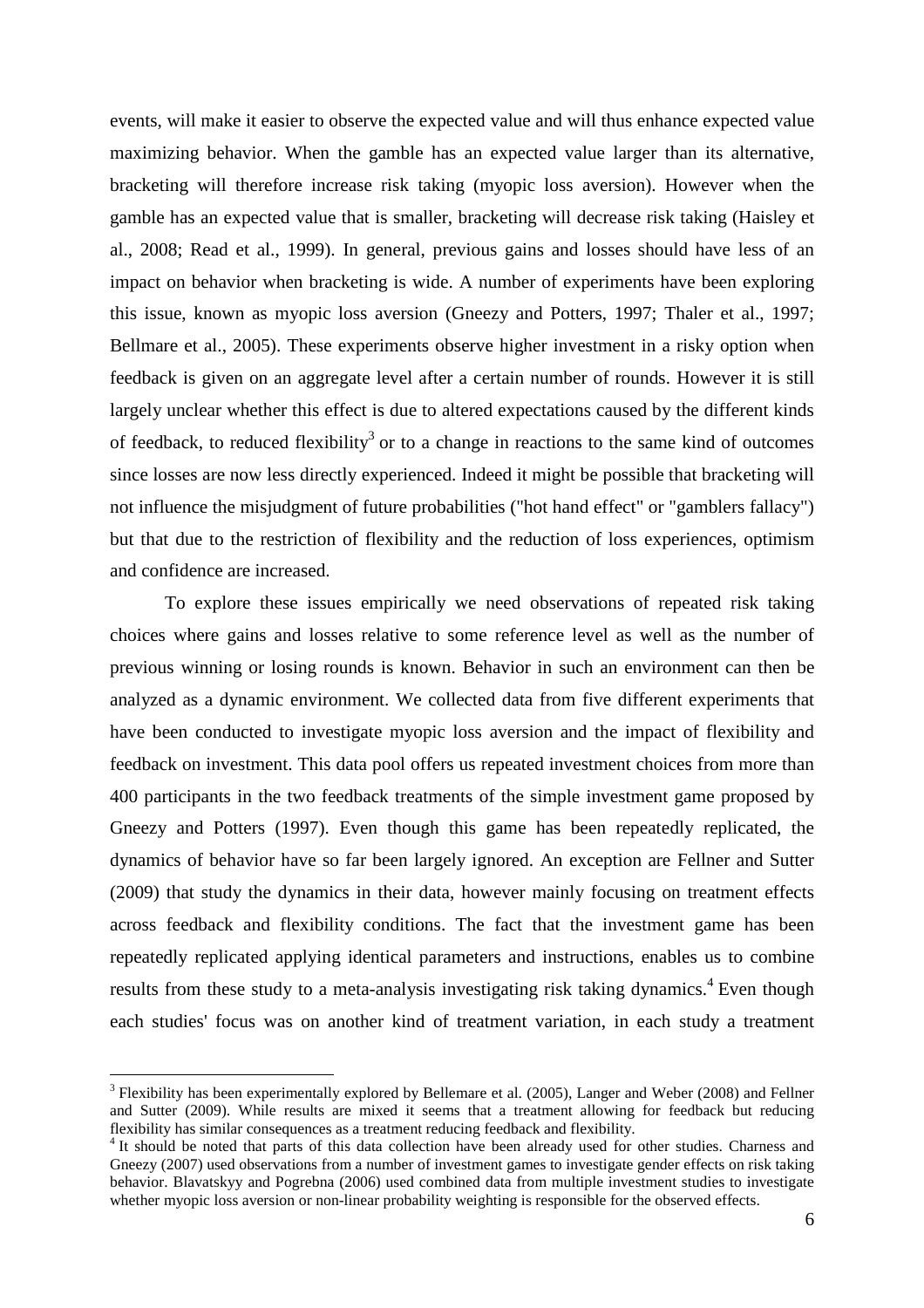events, will make it easier to observe the expected value and will thus enhance expected value maximizing behavior. When the gamble has an expected value larger than its alternative, bracketing will therefore increase risk taking (myopic loss aversion). However when the gamble has an expected value that is smaller, bracketing will decrease risk taking (Haisley et al., 2008; Read et al., 1999). In general, previous gains and losses should have less of an impact on behavior when bracketing is wide. A number of experiments have been exploring this issue, known as myopic loss aversion (Gneezy and Potters, 1997; Thaler et al., 1997; Bellmare et al., 2005). These experiments observe higher investment in a risky option when feedback is given on an aggregate level after a certain number of rounds. However it is still largely unclear whether this effect is due to altered expectations caused by the different kinds of feedback, to reduced flexibility<sup>3</sup> or to a change in reactions to the same kind of outcomes since losses are now less directly experienced. Indeed it might be possible that bracketing will not influence the misjudgment of future probabilities ("hot hand effect" or "gamblers fallacy") but that due to the restriction of flexibility and the reduction of loss experiences, optimism and confidence are increased.

To explore these issues empirically we need observations of repeated risk taking choices where gains and losses relative to some reference level as well as the number of previous winning or losing rounds is known. Behavior in such an environment can then be analyzed as a dynamic environment. We collected data from five different experiments that have been conducted to investigate myopic loss aversion and the impact of flexibility and feedback on investment. This data pool offers us repeated investment choices from more than 400 participants in the two feedback treatments of the simple investment game proposed by Gneezy and Potters (1997). Even though this game has been repeatedly replicated, the dynamics of behavior have so far been largely ignored. An exception are Fellner and Sutter (2009) that study the dynamics in their data, however mainly focusing on treatment effects across feedback and flexibility conditions. The fact that the investment game has been repeatedly replicated applying identical parameters and instructions, enables us to combine results from these study to a meta-analysis investigating risk taking dynamics.<sup>4</sup> Even though each studies' focus was on another kind of treatment variation, in each study a treatment

<sup>&</sup>lt;sup>3</sup> Flexibility has been experimentally explored by Bellemare et al. (2005), Langer and Weber (2008) and Fellner and Sutter (2009). While results are mixed it seems that a treatment allowing for feedback but reducing flexibility has similar consequences as a treatment reducing feedback and flexibility.

<sup>&</sup>lt;sup>4</sup> It should be noted that parts of this data collection have been already used for other studies. Charness and Gneezy (2007) used observations from a number of investment games to investigate gender effects on risk taking behavior. Blavatskyy and Pogrebna (2006) used combined data from multiple investment studies to investigate whether myopic loss aversion or non-linear probability weighting is responsible for the observed effects.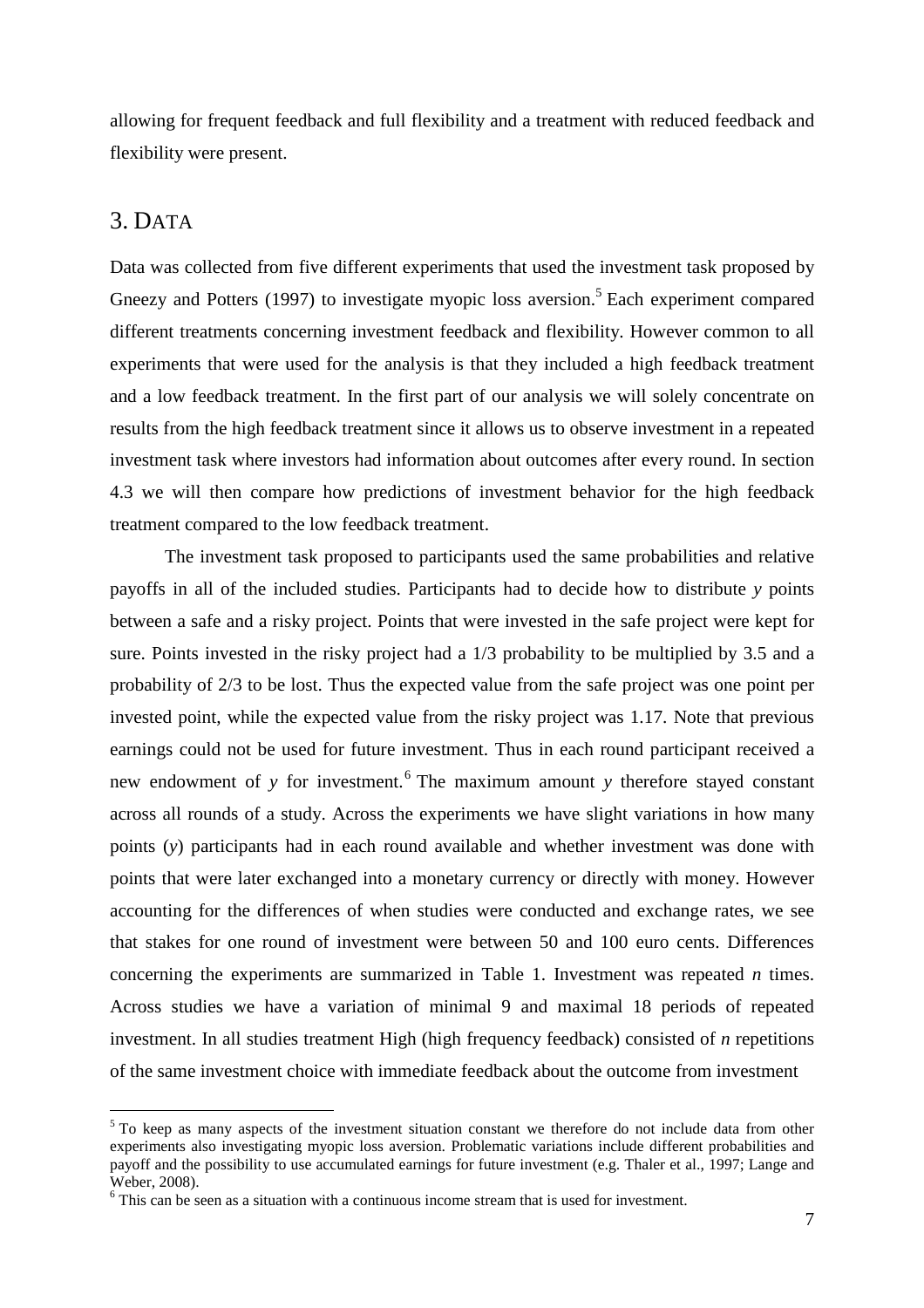allowing for frequent feedback and full flexibility and a treatment with reduced feedback and flexibility were present.

#### 3. DATA

Data was collected from five different experiments that used the investment task proposed by Gneezy and Potters (1997) to investigate myopic loss aversion.<sup>5</sup> Each experiment compared different treatments concerning investment feedback and flexibility. However common to all experiments that were used for the analysis is that they included a high feedback treatment and a low feedback treatment. In the first part of our analysis we will solely concentrate on results from the high feedback treatment since it allows us to observe investment in a repeated investment task where investors had information about outcomes after every round. In section 4.3 we will then compare how predictions of investment behavior for the high feedback treatment compared to the low feedback treatment.

The investment task proposed to participants used the same probabilities and relative payoffs in all of the included studies. Participants had to decide how to distribute *y* points between a safe and a risky project. Points that were invested in the safe project were kept for sure. Points invested in the risky project had a  $1/3$  probability to be multiplied by 3.5 and a probability of 2/3 to be lost. Thus the expected value from the safe project was one point per invested point, while the expected value from the risky project was 1.17. Note that previous earnings could not be used for future investment. Thus in each round participant received a new endowment of *y* for investment.<sup>6</sup> The maximum amount *y* therefore stayed constant across all rounds of a study. Across the experiments we have slight variations in how many points (*y*) participants had in each round available and whether investment was done with points that were later exchanged into a monetary currency or directly with money. However accounting for the differences of when studies were conducted and exchange rates, we see that stakes for one round of investment were between 50 and 100 euro cents. Differences concerning the experiments are summarized in Table 1. Investment was repeated *n* times. Across studies we have a variation of minimal 9 and maximal 18 periods of repeated investment. In all studies treatment High (high frequency feedback) consisted of *n* repetitions of the same investment choice with immediate feedback about the outcome from investment

<sup>&</sup>lt;sup>5</sup> To keep as many aspects of the investment situation constant we therefore do not include data from other experiments also investigating myopic loss aversion. Problematic variations include different probabilities and payoff and the possibility to use accumulated earnings for future investment (e.g. Thaler et al., 1997; Lange and Weber, 2008).

<sup>&</sup>lt;sup>6</sup> This can be seen as a situation with a continuous income stream that is used for investment.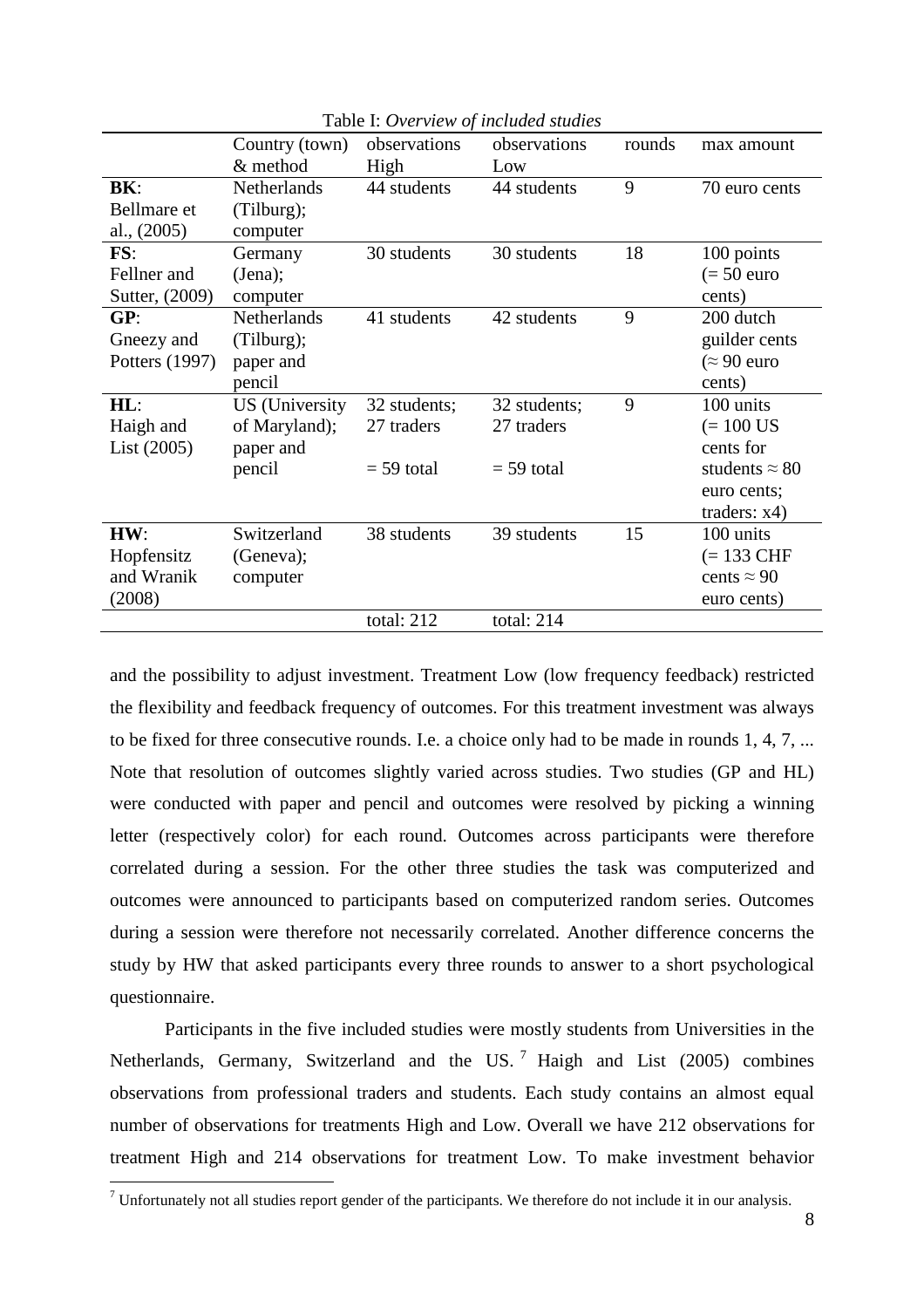|                | Country (town)        | observations | observations | rounds | max amount            |
|----------------|-----------------------|--------------|--------------|--------|-----------------------|
|                | & method              | High         | Low          |        |                       |
| BK:            | Netherlands           | 44 students  | 44 students  | 9      | 70 euro cents         |
| Bellmare et    | (Tilburg);            |              |              |        |                       |
| al., (2005)    | computer              |              |              |        |                       |
| FS:            | Germany               | 30 students  | 30 students  | 18     | 100 points            |
| Fellner and    | (Jena);               |              |              |        | $(= 50$ euro          |
| Sutter, (2009) | computer              |              |              |        | cents)                |
| GP:            | Netherlands           | 41 students  | 42 students  | 9      | 200 dutch             |
| Gneezy and     | (Tilburg);            |              |              |        | guilder cents         |
| Potters (1997) | paper and             |              |              |        | $\approx 90$ euro     |
|                | pencil                |              |              |        | cents)                |
| $HL$ :         | <b>US</b> (University | 32 students; | 32 students; | 9      | 100 units             |
| Haigh and      | of Maryland);         | 27 traders   | 27 traders   |        | $(= 100$ US           |
| List (2005)    | paper and             |              |              |        | cents for             |
|                | pencil                | $=$ 59 total | $= 59$ total |        | students $\approx 80$ |
|                |                       |              |              |        | euro cents;           |
|                |                       |              |              |        | traders: $x4)$        |
| HW:            | Switzerland           | 38 students  | 39 students  | 15     | 100 units             |
| Hopfensitz     | (Geneva);             |              |              |        | $(= 133 \text{ CHF})$ |
| and Wranik     | computer              |              |              |        | cents $\approx 90$    |
| (2008)         |                       |              |              |        | euro cents)           |
|                |                       | total: 212   | total: 214   |        |                       |

Table I: *Overview of included studies*

and the possibility to adjust investment. Treatment Low (low frequency feedback) restricted the flexibility and feedback frequency of outcomes. For this treatment investment was always to be fixed for three consecutive rounds. I.e. a choice only had to be made in rounds 1, 4, 7, ... Note that resolution of outcomes slightly varied across studies. Two studies (GP and HL) were conducted with paper and pencil and outcomes were resolved by picking a winning letter (respectively color) for each round. Outcomes across participants were therefore correlated during a session. For the other three studies the task was computerized and outcomes were announced to participants based on computerized random series. Outcomes during a session were therefore not necessarily correlated. Another difference concerns the study by HW that asked participants every three rounds to answer to a short psychological questionnaire.

Participants in the five included studies were mostly students from Universities in the Netherlands, Germany, Switzerland and the US.<sup>7</sup> Haigh and List (2005) combines observations from professional traders and students. Each study contains an almost equal number of observations for treatments High and Low. Overall we have 212 observations for treatment High and 214 observations for treatment Low. To make investment behavior

 $<sup>7</sup>$  Unfortunately not all studies report gender of the participants. We therefore do not include it in our analysis.</sup>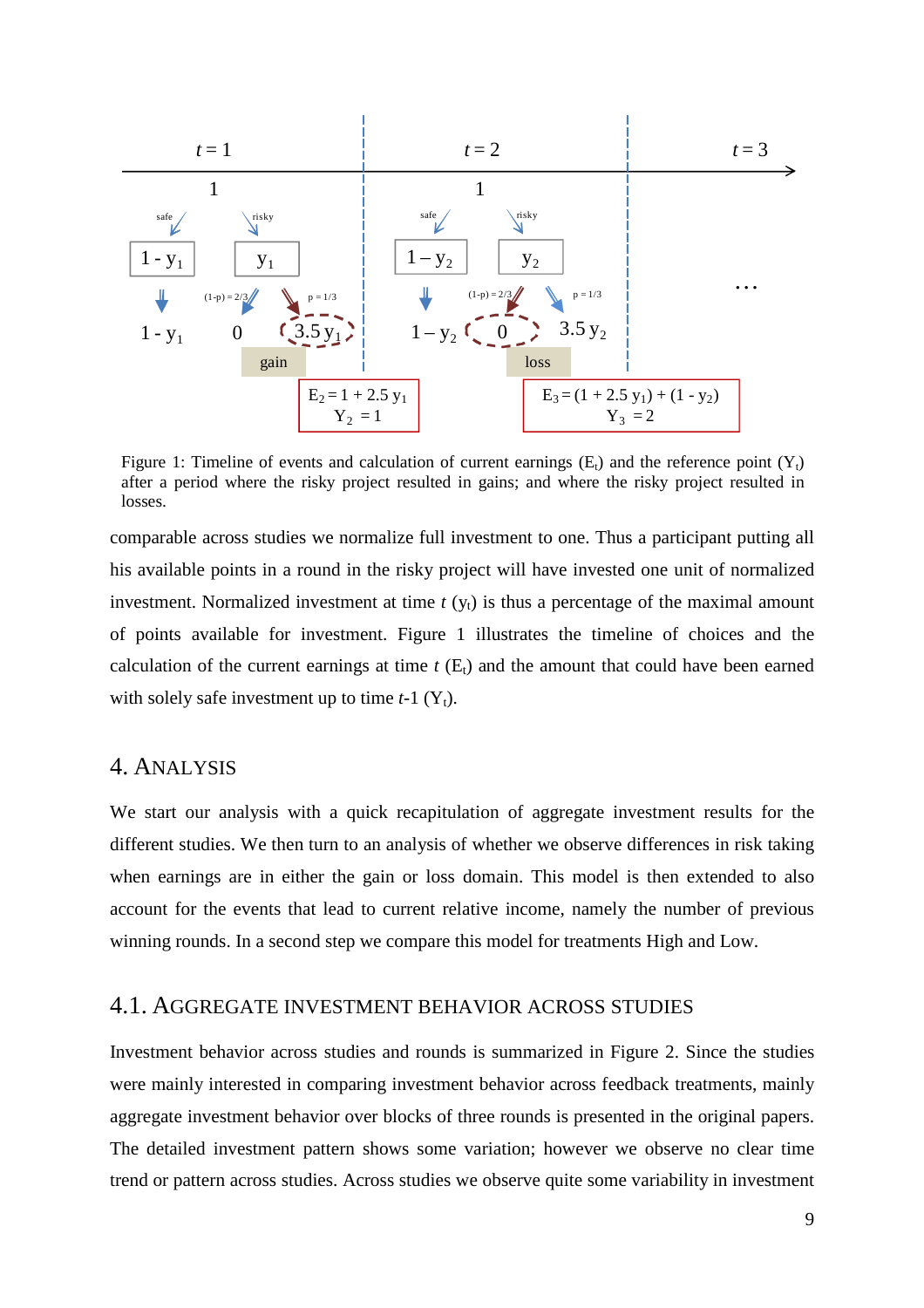

Figure 1: Timeline of events and calculation of current earnings  $(E_t)$  and the reference point  $(Y_t)$ after a period where the risky project resulted in gains; and where the risky project resulted in losses.

comparable across studies we normalize full investment to one. Thus a participant putting all his available points in a round in the risky project will have invested one unit of normalized investment. Normalized investment at time  $t(y_t)$  is thus a percentage of the maximal amount of points available for investment. Figure 1 illustrates the timeline of choices and the calculation of the current earnings at time  $t(E_t)$  and the amount that could have been earned with solely safe investment up to time  $t-1$  ( $Y_t$ ).

#### 4. ANALYSIS

We start our analysis with a quick recapitulation of aggregate investment results for the different studies. We then turn to an analysis of whether we observe differences in risk taking when earnings are in either the gain or loss domain. This model is then extended to also account for the events that lead to current relative income, namely the number of previous winning rounds. In a second step we compare this model for treatments High and Low.

#### 4.1. AGGREGATE INVESTMENT BEHAVIOR ACROSS STUDIES

Investment behavior across studies and rounds is summarized in Figure 2. Since the studies were mainly interested in comparing investment behavior across feedback treatments, mainly aggregate investment behavior over blocks of three rounds is presented in the original papers. The detailed investment pattern shows some variation; however we observe no clear time trend or pattern across studies. Across studies we observe quite some variability in investment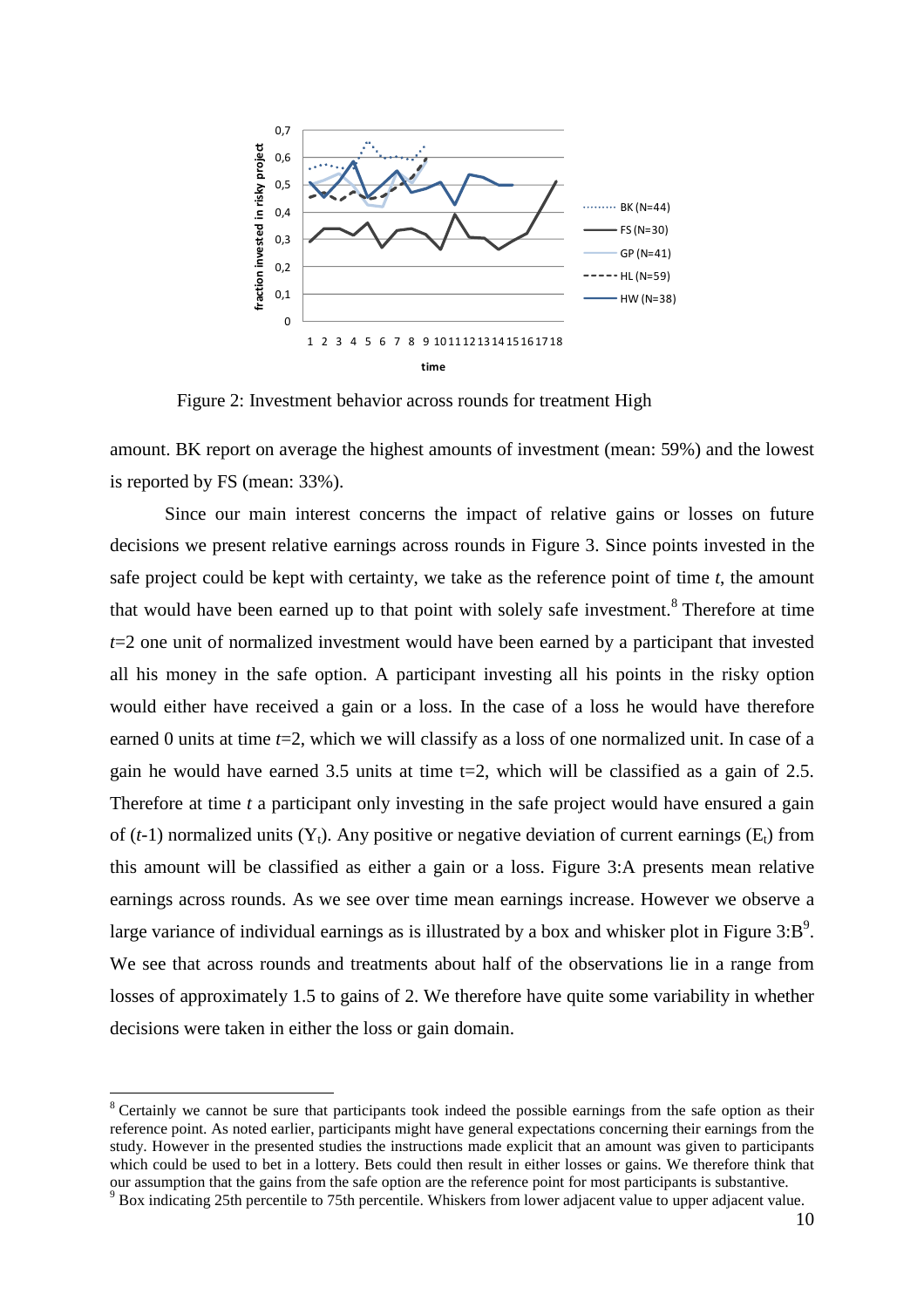

Figure 2: Investment behavior across rounds for treatment High

amount. BK report on average the highest amounts of investment (mean: 59%) and the lowest is reported by FS (mean: 33%).

Since our main interest concerns the impact of relative gains or losses on future decisions we present relative earnings across rounds in Figure 3. Since points invested in the safe project could be kept with certainty, we take as the reference point of time *t*, the amount that would have been earned up to that point with solely safe investment.<sup>8</sup> Therefore at time *t*=2 one unit of normalized investment would have been earned by a participant that invested all his money in the safe option. A participant investing all his points in the risky option would either have received a gain or a loss. In the case of a loss he would have therefore earned 0 units at time *t*=2, which we will classify as a loss of one normalized unit. In case of a gain he would have earned 3.5 units at time  $t=2$ , which will be classified as a gain of 2.5. Therefore at time *t* a participant only investing in the safe project would have ensured a gain of  $(t-1)$  normalized units  $(Y_t)$ . Any positive or negative deviation of current earnings  $(E_t)$  from this amount will be classified as either a gain or a loss. Figure 3:A presents mean relative earnings across rounds. As we see over time mean earnings increase. However we observe a large variance of individual earnings as is illustrated by a box and whisker plot in Figure  $3:B<sup>9</sup>$ . We see that across rounds and treatments about half of the observations lie in a range from losses of approximately 1.5 to gains of 2. We therefore have quite some variability in whether decisions were taken in either the loss or gain domain.

<sup>&</sup>lt;sup>8</sup> Certainly we cannot be sure that participants took indeed the possible earnings from the safe option as their reference point. As noted earlier, participants might have general expectations concerning their earnings from the study. However in the presented studies the instructions made explicit that an amount was given to participants which could be used to bet in a lottery. Bets could then result in either losses or gains. We therefore think that our assumption that the gains from the safe option are the reference point for most participants is substantive.

<sup>&</sup>lt;sup>9</sup> Box indicating 25th percentile to 75th percentile. Whiskers from lower adjacent value to upper adjacent value.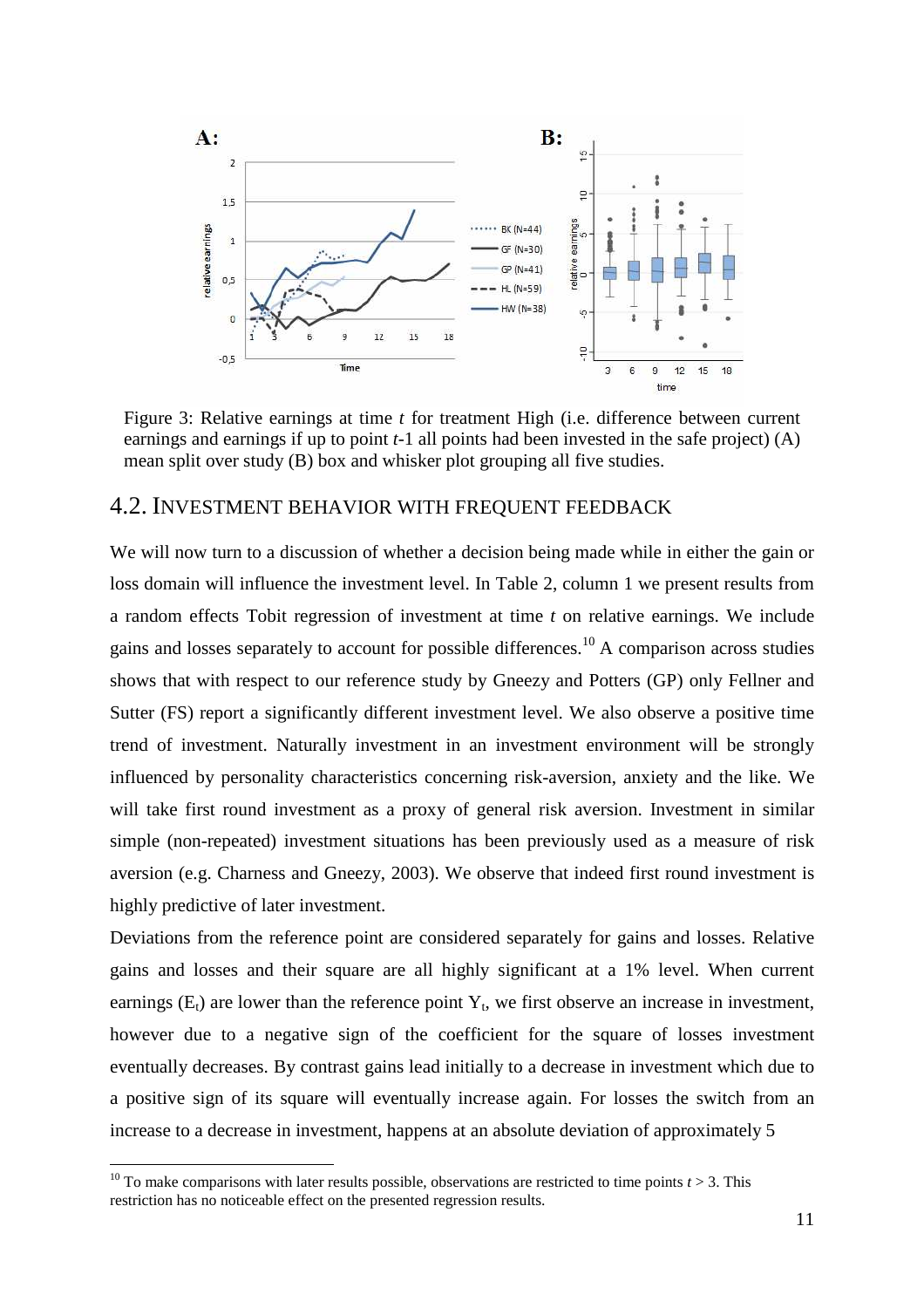

Figure 3: Relative earnings at time *t* for treatment High (i.e. difference between current earnings and earnings if up to point *t*-1 all points had been invested in the safe project) (A) mean split over study (B) box and whisker plot grouping all five studies.

#### 4.2. INVESTMENT BEHAVIOR WITH FREQUENT FEEDBACK

We will now turn to a discussion of whether a decision being made while in either the gain or loss domain will influence the investment level. In Table 2, column 1 we present results from a random effects Tobit regression of investment at time *t* on relative earnings. We include gains and losses separately to account for possible differences.<sup>10</sup> A comparison across studies shows that with respect to our reference study by Gneezy and Potters (GP) only Fellner and Sutter (FS) report a significantly different investment level. We also observe a positive time trend of investment. Naturally investment in an investment environment will be strongly influenced by personality characteristics concerning risk-aversion, anxiety and the like. We will take first round investment as a proxy of general risk aversion. Investment in similar simple (non-repeated) investment situations has been previously used as a measure of risk aversion (e.g. Charness and Gneezy, 2003). We observe that indeed first round investment is highly predictive of later investment.

Deviations from the reference point are considered separately for gains and losses. Relative gains and losses and their square are all highly significant at a 1% level. When current earnings  $(E_t)$  are lower than the reference point  $Y_t$ , we first observe an increase in investment, however due to a negative sign of the coefficient for the square of losses investment eventually decreases. By contrast gains lead initially to a decrease in investment which due to a positive sign of its square will eventually increase again. For losses the switch from an increase to a decrease in investment, happens at an absolute deviation of approximately 5

<sup>&</sup>lt;sup>10</sup> To make comparisons with later results possible, observations are restricted to time points  $t > 3$ . This restriction has no noticeable effect on the presented regression results.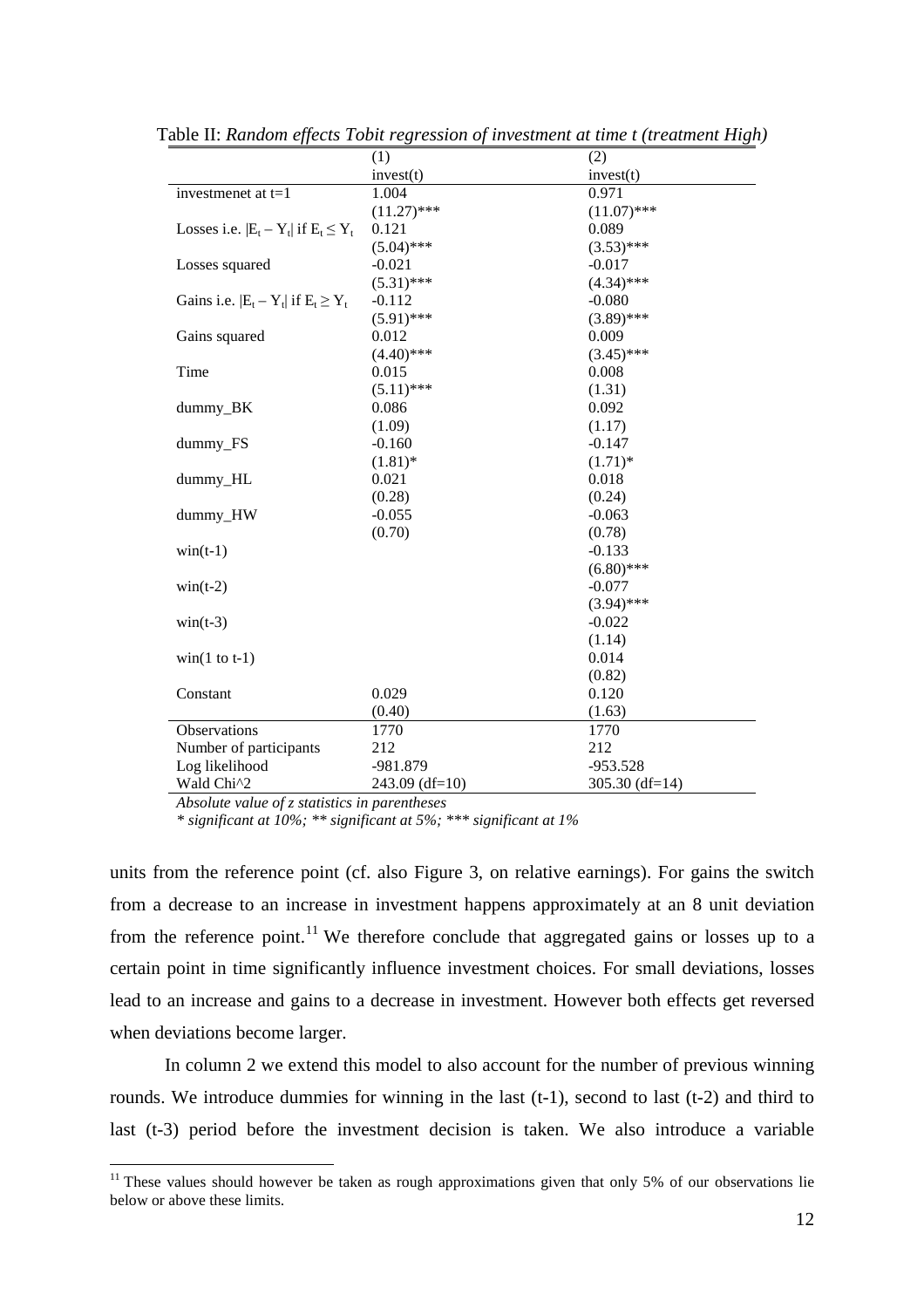|                                            | (1)            | (2)              |
|--------------------------------------------|----------------|------------------|
|                                            | invest(t)      | invest(t)        |
| investmenet at t=1                         | 1.004          | 0.971            |
|                                            | $(11.27)$ ***  | $(11.07)$ ***    |
| Losses i.e. $ E_t - Y_t $ if $E_t \le Y_t$ | 0.121          | 0.089            |
|                                            | $(5.04)$ ***   | $(3.53)$ ***     |
| Losses squared                             | $-0.021$       | $-0.017$         |
|                                            | $(5.31)$ ***   | $(4.34)$ ***     |
| Gains i.e. $ E_t - Y_t $ if $E_t \ge Y_t$  | $-0.112$       | $-0.080$         |
|                                            | $(5.91)$ ***   | $(3.89)$ ***     |
| Gains squared                              | 0.012          | 0.009            |
|                                            | $(4.40)$ ***   | $(3.45)$ ***     |
| Time                                       | 0.015          | 0.008            |
|                                            | $(5.11)$ ***   | (1.31)           |
| dummy_BK                                   | 0.086          | 0.092            |
|                                            | (1.09)         | (1.17)           |
| dummy_FS                                   | $-0.160$       | $-0.147$         |
|                                            | $(1.81)$ *     | $(1.71)^*$       |
| dummy_HL                                   | 0.021          | 0.018            |
|                                            | (0.28)         | (0.24)           |
| dummy_HW                                   | $-0.055$       | $-0.063$         |
|                                            | (0.70)         | (0.78)           |
| $\text{win}(t-1)$                          |                | $-0.133$         |
|                                            |                | $(6.80)$ ***     |
| $win(t-2)$                                 |                | $-0.077$         |
|                                            |                | $(3.94)$ ***     |
| $win(t-3)$                                 |                | $-0.022$         |
|                                            |                | (1.14)           |
| $win(1 to t-1)$                            |                | 0.014            |
|                                            |                | (0.82)           |
| Constant                                   | 0.029          | 0.120            |
|                                            | (0.40)         | (1.63)           |
| Observations                               | 1770           | 1770             |
| Number of participants                     | 212            | 212              |
| Log likelihood                             | -981.879       | $-953.528$       |
| Wald Chi^2                                 | 243.09 (df=10) | 305.30 $(df=14)$ |

Table II: *Random effects Tobit regression of investment at time t (treatment High)*

*Absolute value of z statistics in parentheses* 

 $\overline{a}$ 

*\* significant at 10%; \*\* significant at 5%; \*\*\* significant at 1%* 

units from the reference point (cf. also Figure 3, on relative earnings). For gains the switch from a decrease to an increase in investment happens approximately at an 8 unit deviation from the reference point.<sup>11</sup> We therefore conclude that aggregated gains or losses up to a certain point in time significantly influence investment choices. For small deviations, losses lead to an increase and gains to a decrease in investment. However both effects get reversed when deviations become larger.

In column 2 we extend this model to also account for the number of previous winning rounds. We introduce dummies for winning in the last (t-1), second to last (t-2) and third to last (t-3) period before the investment decision is taken. We also introduce a variable

 $11$  These values should however be taken as rough approximations given that only 5% of our observations lie below or above these limits.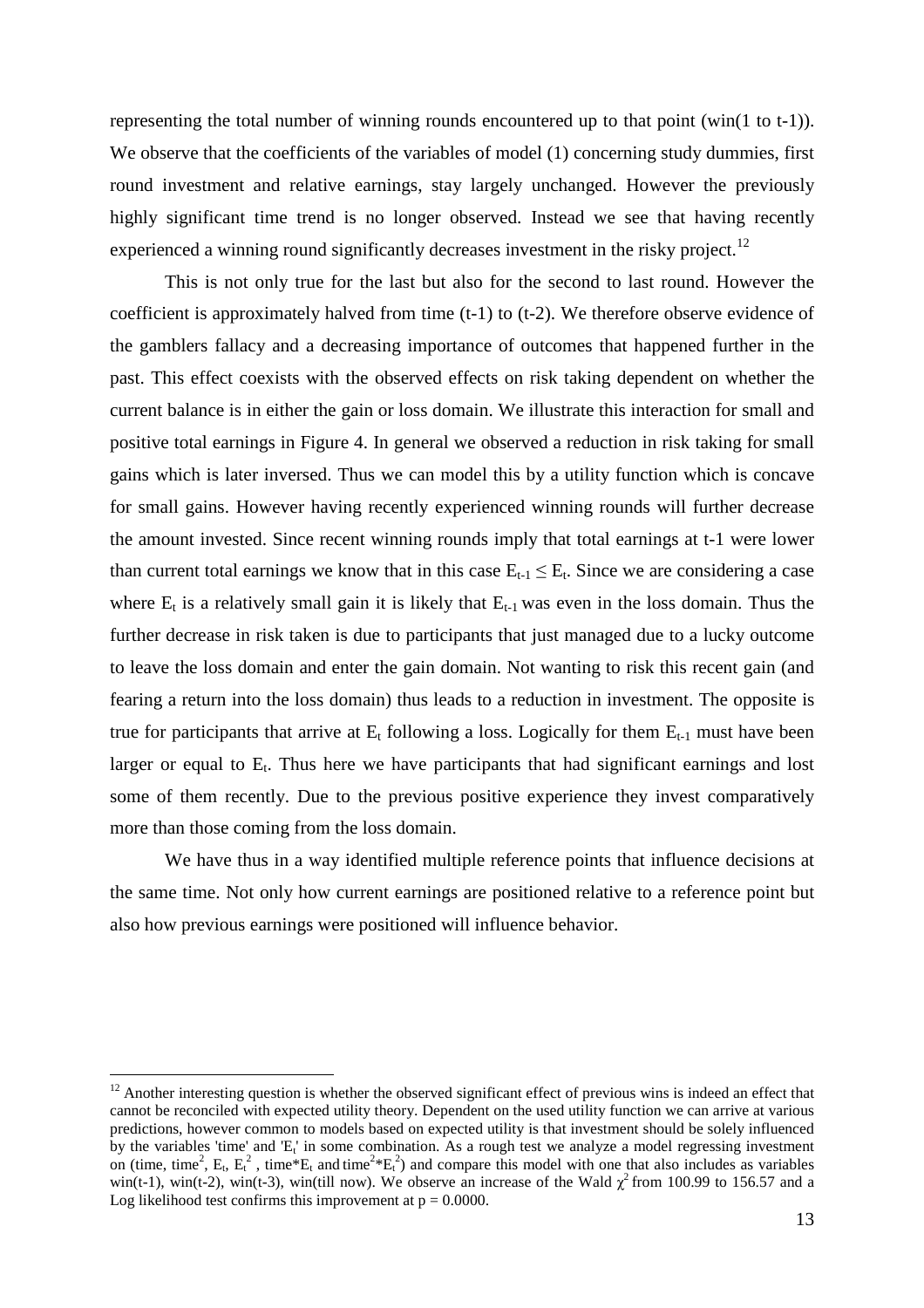representing the total number of winning rounds encountered up to that point (win(1 to t-1)). We observe that the coefficients of the variables of model (1) concerning study dummies, first round investment and relative earnings, stay largely unchanged. However the previously highly significant time trend is no longer observed. Instead we see that having recently experienced a winning round significantly decreases investment in the risky project.<sup>12</sup>

This is not only true for the last but also for the second to last round. However the coefficient is approximately halved from time (t-1) to (t-2). We therefore observe evidence of the gamblers fallacy and a decreasing importance of outcomes that happened further in the past. This effect coexists with the observed effects on risk taking dependent on whether the current balance is in either the gain or loss domain. We illustrate this interaction for small and positive total earnings in Figure 4. In general we observed a reduction in risk taking for small gains which is later inversed. Thus we can model this by a utility function which is concave for small gains. However having recently experienced winning rounds will further decrease the amount invested. Since recent winning rounds imply that total earnings at t-1 were lower than current total earnings we know that in this case  $E_{t-1} \le E_t$ . Since we are considering a case where  $E_t$  is a relatively small gain it is likely that  $E_{t-1}$  was even in the loss domain. Thus the further decrease in risk taken is due to participants that just managed due to a lucky outcome to leave the loss domain and enter the gain domain. Not wanting to risk this recent gain (and fearing a return into the loss domain) thus leads to a reduction in investment. The opposite is true for participants that arrive at  $E_t$  following a loss. Logically for them  $E_{t-1}$  must have been larger or equal to  $E_t$ . Thus here we have participants that had significant earnings and lost some of them recently. Due to the previous positive experience they invest comparatively more than those coming from the loss domain.

We have thus in a way identified multiple reference points that influence decisions at the same time. Not only how current earnings are positioned relative to a reference point but also how previous earnings were positioned will influence behavior.

<sup>&</sup>lt;sup>12</sup> Another interesting question is whether the observed significant effect of previous wins is indeed an effect that cannot be reconciled with expected utility theory. Dependent on the used utility function we can arrive at various predictions, however common to models based on expected utility is that investment should be solely influenced by the variables 'time' and 'E<sub>t</sub>' in some combination. As a rough test we analyze a model regressing investment on (time, time<sup>2</sup>, E<sub>t</sub>, E<sub>t</sub><sup>2</sup>, time\*E<sub>t</sub> and time<sup>2</sup>\*E<sub>t</sub><sup>2</sup>) and compare this model with one that also includes as variables win(t-1), win(t-2), win(t-3), win(till now). We observe an increase of the Wald  $\chi^2$  from 100.99 to 156.57 and a Log likelihood test confirms this improvement at  $p = 0.0000$ .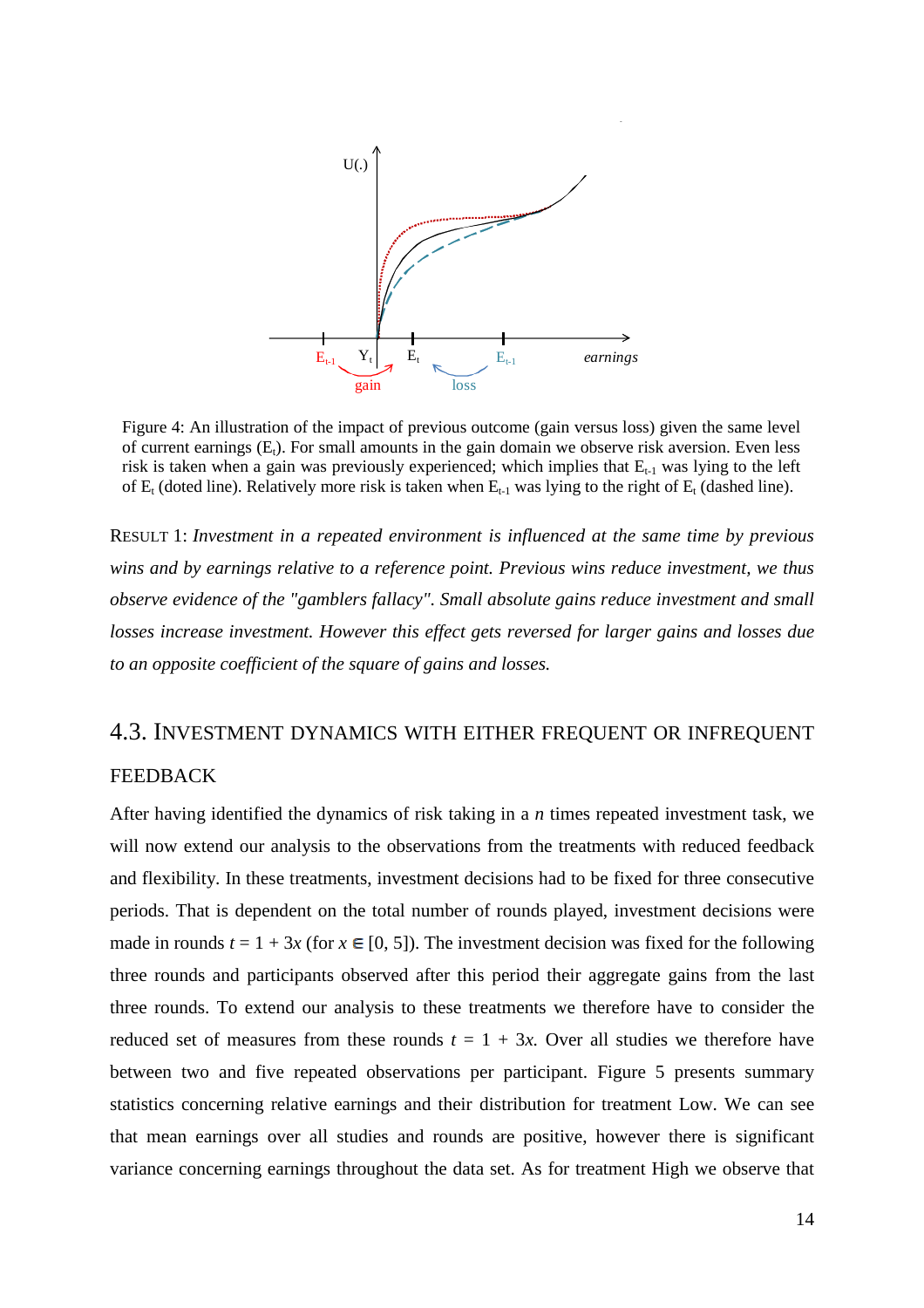

Figure 4: An illustration of the impact of previous outcome (gain versus loss) given the same level of current earnings  $(E_t)$ . For small amounts in the gain domain we observe risk aversion. Even less risk is taken when a gain was previously experienced; which implies that  $E_{t-1}$  was lying to the left of  $E_t$  (doted line). Relatively more risk is taken when  $E_{t-1}$  was lying to the right of  $E_t$  (dashed line).

RESULT 1: *Investment in a repeated environment is influenced at the same time by previous wins and by earnings relative to a reference point. Previous wins reduce investment, we thus observe evidence of the "gamblers fallacy". Small absolute gains reduce investment and small losses increase investment. However this effect gets reversed for larger gains and losses due to an opposite coefficient of the square of gains and losses.* 

#### 4.3. INVESTMENT DYNAMICS WITH EITHER FREQUENT OR INFREQUENT FEEDBACK

After having identified the dynamics of risk taking in a *n* times repeated investment task, we will now extend our analysis to the observations from the treatments with reduced feedback and flexibility. In these treatments, investment decisions had to be fixed for three consecutive periods. That is dependent on the total number of rounds played, investment decisions were made in rounds  $t = 1 + 3x$  (for  $x \in [0, 5]$ ). The investment decision was fixed for the following three rounds and participants observed after this period their aggregate gains from the last three rounds. To extend our analysis to these treatments we therefore have to consider the reduced set of measures from these rounds  $t = 1 + 3x$ . Over all studies we therefore have between two and five repeated observations per participant. Figure 5 presents summary statistics concerning relative earnings and their distribution for treatment Low. We can see that mean earnings over all studies and rounds are positive, however there is significant variance concerning earnings throughout the data set. As for treatment High we observe that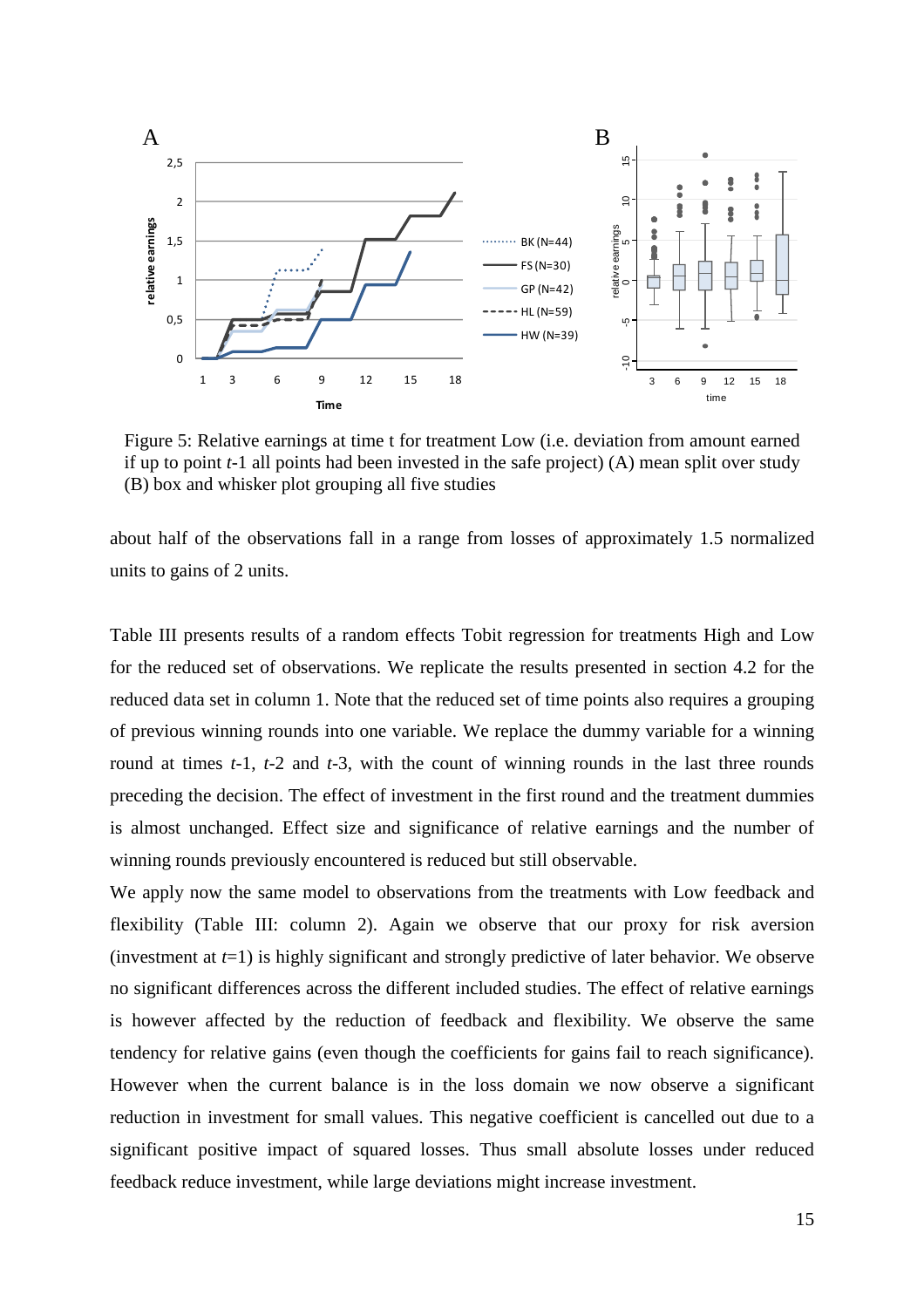

Figure 5: Relative earnings at time t for treatment Low (i.e. deviation from amount earned if up to point *t*-1 all points had been invested in the safe project) (A) mean split over study (B) box and whisker plot grouping all five studies

about half of the observations fall in a range from losses of approximately 1.5 normalized units to gains of 2 units.

Table III presents results of a random effects Tobit regression for treatments High and Low for the reduced set of observations. We replicate the results presented in section 4.2 for the reduced data set in column 1. Note that the reduced set of time points also requires a grouping of previous winning rounds into one variable. We replace the dummy variable for a winning round at times *t*-1, *t*-2 and *t*-3, with the count of winning rounds in the last three rounds preceding the decision. The effect of investment in the first round and the treatment dummies is almost unchanged. Effect size and significance of relative earnings and the number of winning rounds previously encountered is reduced but still observable.

We apply now the same model to observations from the treatments with Low feedback and flexibility (Table III: column 2). Again we observe that our proxy for risk aversion (investment at *t*=1) is highly significant and strongly predictive of later behavior. We observe no significant differences across the different included studies. The effect of relative earnings is however affected by the reduction of feedback and flexibility. We observe the same tendency for relative gains (even though the coefficients for gains fail to reach significance). However when the current balance is in the loss domain we now observe a significant reduction in investment for small values. This negative coefficient is cancelled out due to a significant positive impact of squared losses. Thus small absolute losses under reduced feedback reduce investment, while large deviations might increase investment.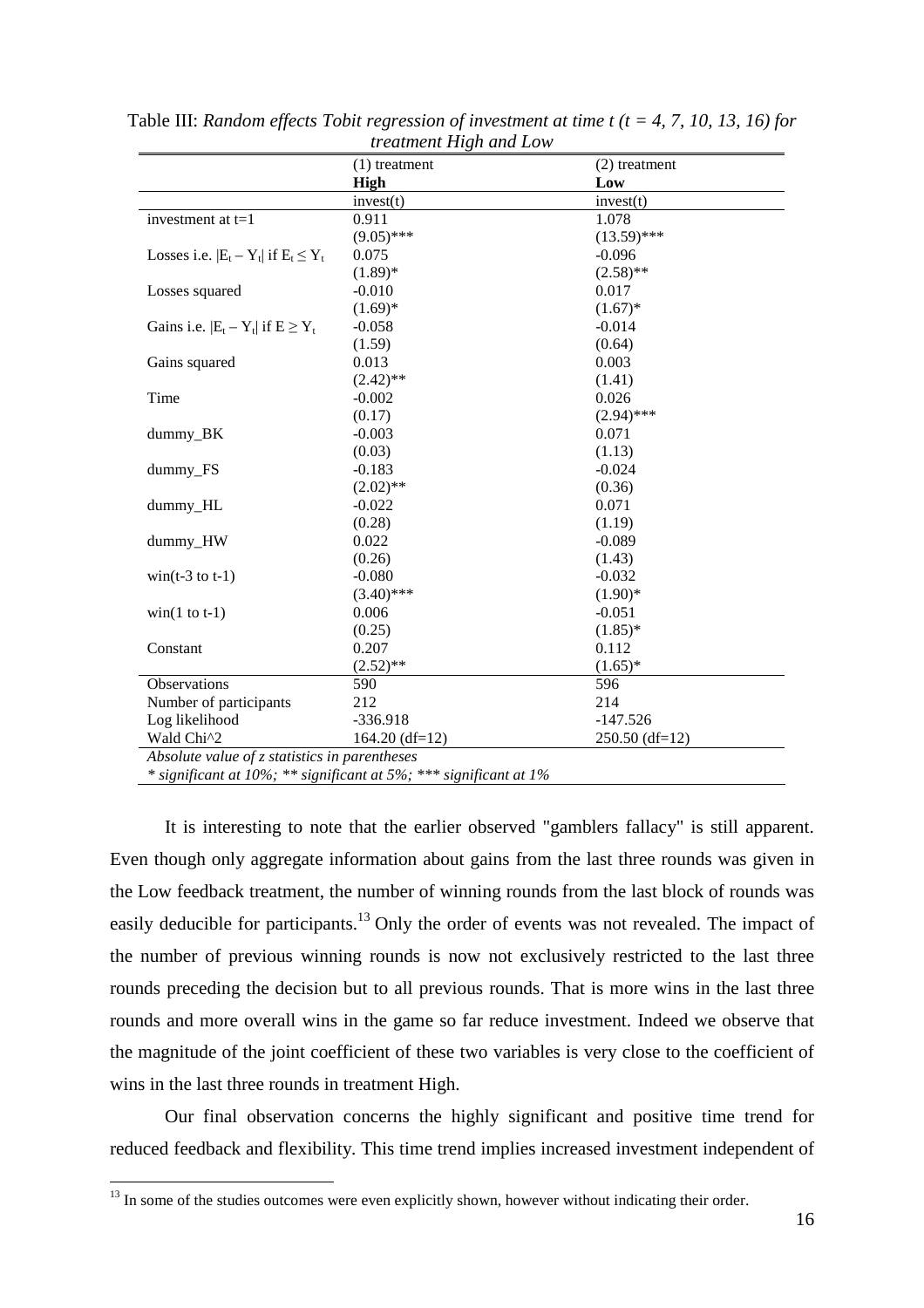|                                               | $(1)$ treatment                                                   | $(2)$ treatment  |  |  |  |
|-----------------------------------------------|-------------------------------------------------------------------|------------------|--|--|--|
|                                               | High                                                              | Low              |  |  |  |
|                                               | invest(t)                                                         | invest(t)        |  |  |  |
| investment at $t=1$                           | 0.911                                                             | 1.078            |  |  |  |
|                                               | $(9.05)$ ***                                                      | $(13.59)$ ***    |  |  |  |
| Losses i.e. $ E_t - Y_t $ if $E_t \leq Y_t$   | 0.075                                                             | $-0.096$         |  |  |  |
|                                               | $(1.89)$ *                                                        | $(2.58)$ **      |  |  |  |
| Losses squared                                | $-0.010$                                                          | 0.017            |  |  |  |
|                                               | $(1.69)*$                                                         | $(1.67)^*$       |  |  |  |
| Gains i.e. $ E_t - Y_t $ if $E \ge Y_t$       | $-0.058$                                                          | $-0.014$         |  |  |  |
|                                               | (1.59)                                                            | (0.64)           |  |  |  |
| Gains squared                                 | 0.013                                                             | 0.003            |  |  |  |
|                                               | $(2.42)$ **                                                       | (1.41)           |  |  |  |
| Time                                          | $-0.002$                                                          | 0.026            |  |  |  |
|                                               | (0.17)                                                            | $(2.94)$ ***     |  |  |  |
| dummy_BK                                      | $-0.003$                                                          | 0.071            |  |  |  |
|                                               | (0.03)                                                            | (1.13)           |  |  |  |
| dummy_FS                                      | $-0.183$                                                          | $-0.024$         |  |  |  |
|                                               | $(2.02)$ **                                                       | (0.36)           |  |  |  |
| dummy_HL                                      | $-0.022$                                                          | 0.071            |  |  |  |
|                                               | (0.28)                                                            | (1.19)           |  |  |  |
| dummy_HW                                      | 0.022                                                             | $-0.089$         |  |  |  |
|                                               | (0.26)                                                            | (1.43)           |  |  |  |
| $win(t-3 \text{ to } t-1)$                    | $-0.080$                                                          | $-0.032$         |  |  |  |
|                                               | $(3.40)$ ***                                                      | $(1.90)*$        |  |  |  |
| $win(1 to t-1)$                               | 0.006                                                             | $-0.051$         |  |  |  |
|                                               | (0.25)                                                            | $(1.85)^*$       |  |  |  |
| Constant                                      | 0.207                                                             | 0.112            |  |  |  |
|                                               | $(2.52)$ **                                                       | $(1.65)^*$       |  |  |  |
| Observations                                  | 590                                                               | 596              |  |  |  |
| Number of participants                        | 212                                                               | 214              |  |  |  |
| Log likelihood                                | $-336.918$                                                        | $-147.526$       |  |  |  |
| Wald Chi^2                                    | $164.20$ (df=12)                                                  | $250.50$ (df=12) |  |  |  |
| Absolute value of z statistics in parentheses |                                                                   |                  |  |  |  |
|                                               | * significant at 10%; ** significant at 5%; *** significant at 1% |                  |  |  |  |

Table III: *Random effects Tobit regression of investment at time t (t = 4, 7, 10, 13, 16) for treatment High and Low*

It is interesting to note that the earlier observed "gamblers fallacy" is still apparent. Even though only aggregate information about gains from the last three rounds was given in the Low feedback treatment, the number of winning rounds from the last block of rounds was easily deducible for participants.<sup>13</sup> Only the order of events was not revealed. The impact of the number of previous winning rounds is now not exclusively restricted to the last three rounds preceding the decision but to all previous rounds. That is more wins in the last three rounds and more overall wins in the game so far reduce investment. Indeed we observe that the magnitude of the joint coefficient of these two variables is very close to the coefficient of wins in the last three rounds in treatment High.

Our final observation concerns the highly significant and positive time trend for reduced feedback and flexibility. This time trend implies increased investment independent of

<sup>&</sup>lt;sup>13</sup> In some of the studies outcomes were even explicitly shown, however without indicating their order.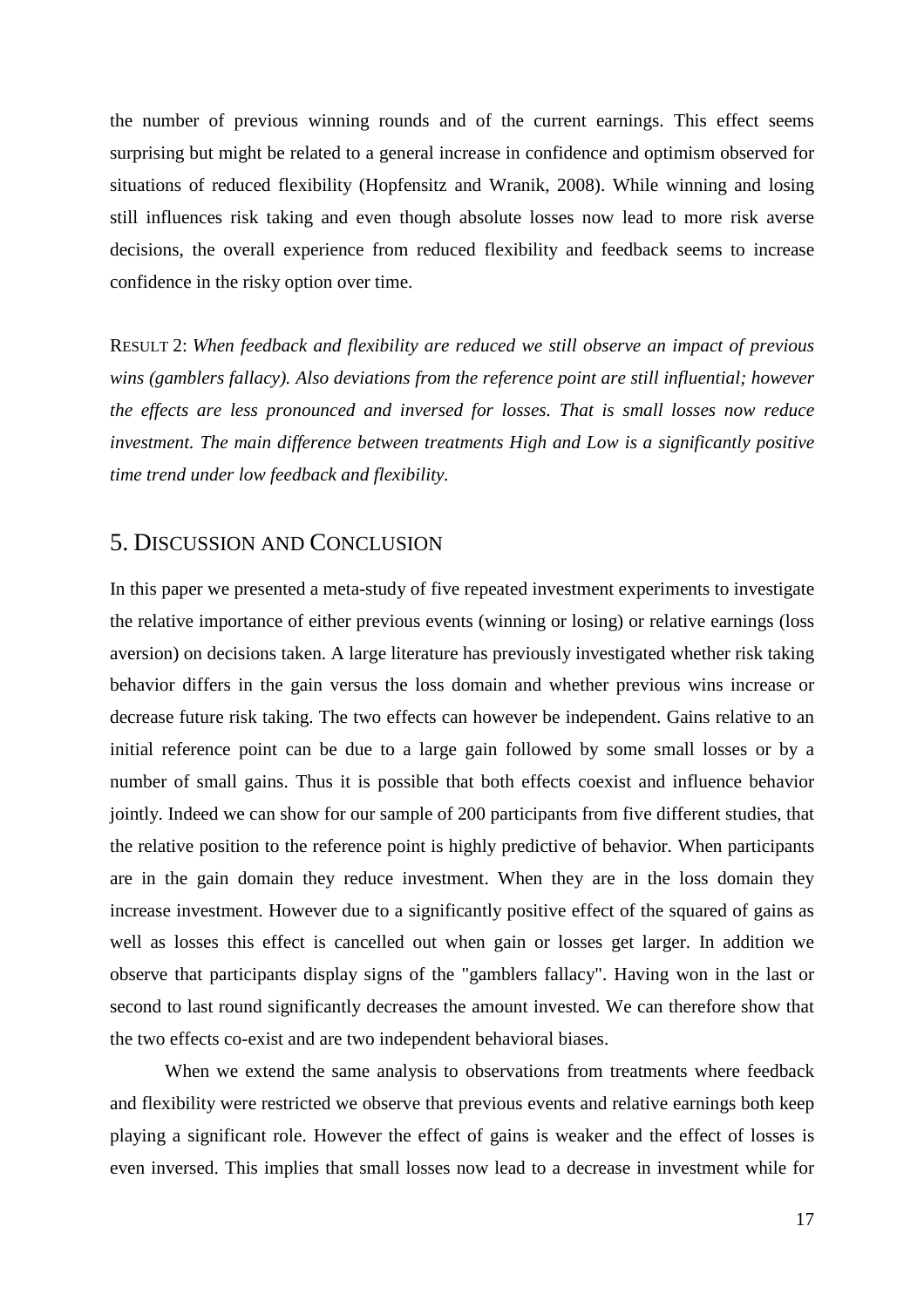the number of previous winning rounds and of the current earnings. This effect seems surprising but might be related to a general increase in confidence and optimism observed for situations of reduced flexibility (Hopfensitz and Wranik, 2008). While winning and losing still influences risk taking and even though absolute losses now lead to more risk averse decisions, the overall experience from reduced flexibility and feedback seems to increase confidence in the risky option over time.

RESULT 2: *When feedback and flexibility are reduced we still observe an impact of previous wins (gamblers fallacy). Also deviations from the reference point are still influential; however the effects are less pronounced and inversed for losses. That is small losses now reduce investment. The main difference between treatments High and Low is a significantly positive time trend under low feedback and flexibility.* 

#### 5. DISCUSSION AND CONCLUSION

In this paper we presented a meta-study of five repeated investment experiments to investigate the relative importance of either previous events (winning or losing) or relative earnings (loss aversion) on decisions taken. A large literature has previously investigated whether risk taking behavior differs in the gain versus the loss domain and whether previous wins increase or decrease future risk taking. The two effects can however be independent. Gains relative to an initial reference point can be due to a large gain followed by some small losses or by a number of small gains. Thus it is possible that both effects coexist and influence behavior jointly. Indeed we can show for our sample of 200 participants from five different studies, that the relative position to the reference point is highly predictive of behavior. When participants are in the gain domain they reduce investment. When they are in the loss domain they increase investment. However due to a significantly positive effect of the squared of gains as well as losses this effect is cancelled out when gain or losses get larger. In addition we observe that participants display signs of the "gamblers fallacy". Having won in the last or second to last round significantly decreases the amount invested. We can therefore show that the two effects co-exist and are two independent behavioral biases.

When we extend the same analysis to observations from treatments where feedback and flexibility were restricted we observe that previous events and relative earnings both keep playing a significant role. However the effect of gains is weaker and the effect of losses is even inversed. This implies that small losses now lead to a decrease in investment while for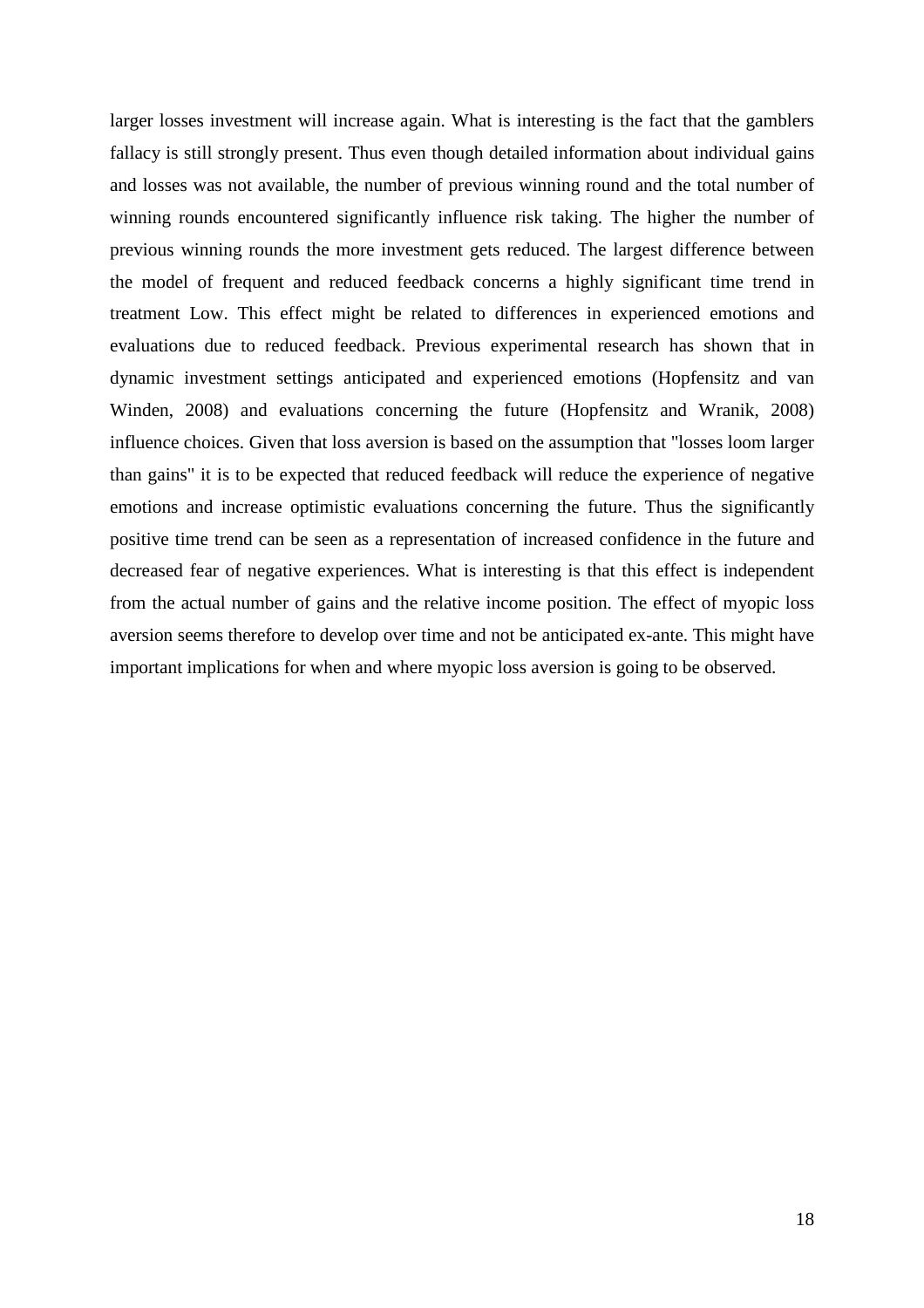larger losses investment will increase again. What is interesting is the fact that the gamblers fallacy is still strongly present. Thus even though detailed information about individual gains and losses was not available, the number of previous winning round and the total number of winning rounds encountered significantly influence risk taking. The higher the number of previous winning rounds the more investment gets reduced. The largest difference between the model of frequent and reduced feedback concerns a highly significant time trend in treatment Low. This effect might be related to differences in experienced emotions and evaluations due to reduced feedback. Previous experimental research has shown that in dynamic investment settings anticipated and experienced emotions (Hopfensitz and van Winden, 2008) and evaluations concerning the future (Hopfensitz and Wranik, 2008) influence choices. Given that loss aversion is based on the assumption that "losses loom larger than gains" it is to be expected that reduced feedback will reduce the experience of negative emotions and increase optimistic evaluations concerning the future. Thus the significantly positive time trend can be seen as a representation of increased confidence in the future and decreased fear of negative experiences. What is interesting is that this effect is independent from the actual number of gains and the relative income position. The effect of myopic loss aversion seems therefore to develop over time and not be anticipated ex-ante. This might have important implications for when and where myopic loss aversion is going to be observed.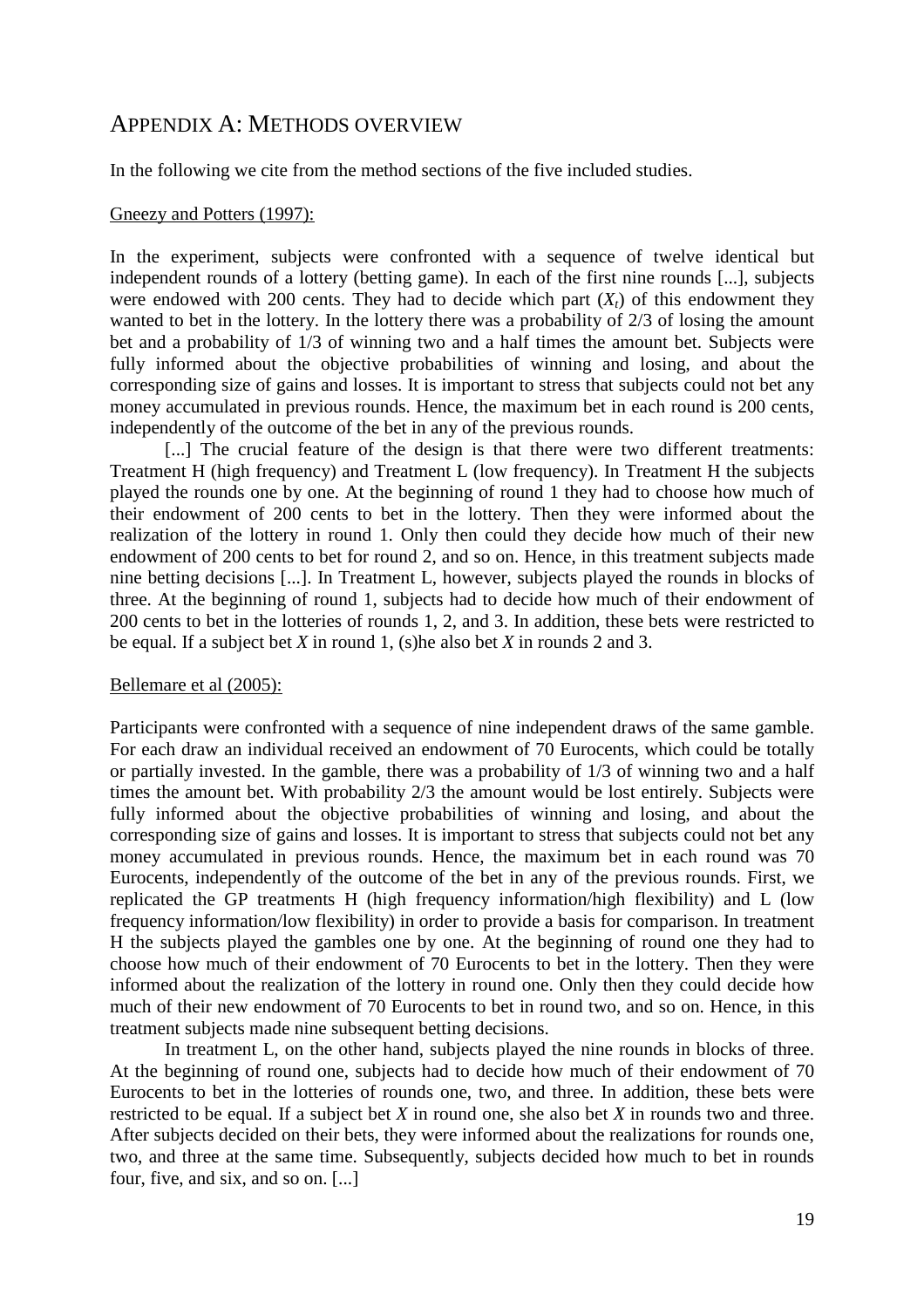#### APPENDIX A: METHODS OVERVIEW

In the following we cite from the method sections of the five included studies.

#### Gneezy and Potters (1997):

In the experiment, subjects were confronted with a sequence of twelve identical but independent rounds of a lottery (betting game). In each of the first nine rounds [...], subjects were endowed with 200 cents. They had to decide which part  $(X_t)$  of this endowment they wanted to bet in the lottery. In the lottery there was a probability of 2/3 of losing the amount bet and a probability of 1/3 of winning two and a half times the amount bet. Subjects were fully informed about the objective probabilities of winning and losing, and about the corresponding size of gains and losses. It is important to stress that subjects could not bet any money accumulated in previous rounds. Hence, the maximum bet in each round is 200 cents, independently of the outcome of the bet in any of the previous rounds.

[...] The crucial feature of the design is that there were two different treatments: Treatment H (high frequency) and Treatment L (low frequency). In Treatment H the subjects played the rounds one by one. At the beginning of round 1 they had to choose how much of their endowment of 200 cents to bet in the lottery. Then they were informed about the realization of the lottery in round 1. Only then could they decide how much of their new endowment of 200 cents to bet for round 2, and so on. Hence, in this treatment subjects made nine betting decisions [...]. In Treatment L, however, subjects played the rounds in blocks of three. At the beginning of round 1, subjects had to decide how much of their endowment of 200 cents to bet in the lotteries of rounds 1, 2, and 3. In addition, these bets were restricted to be equal. If a subject bet *X* in round 1, (s)he also bet *X* in rounds 2 and 3.

#### Bellemare et al (2005):

Participants were confronted with a sequence of nine independent draws of the same gamble. For each draw an individual received an endowment of 70 Eurocents, which could be totally or partially invested. In the gamble, there was a probability of 1/3 of winning two and a half times the amount bet. With probability 2/3 the amount would be lost entirely. Subjects were fully informed about the objective probabilities of winning and losing, and about the corresponding size of gains and losses. It is important to stress that subjects could not bet any money accumulated in previous rounds. Hence, the maximum bet in each round was 70 Eurocents, independently of the outcome of the bet in any of the previous rounds. First, we replicated the GP treatments H (high frequency information/high flexibility) and L (low frequency information/low flexibility) in order to provide a basis for comparison. In treatment H the subjects played the gambles one by one. At the beginning of round one they had to choose how much of their endowment of 70 Eurocents to bet in the lottery. Then they were informed about the realization of the lottery in round one. Only then they could decide how much of their new endowment of 70 Eurocents to bet in round two, and so on. Hence, in this treatment subjects made nine subsequent betting decisions.

In treatment L, on the other hand, subjects played the nine rounds in blocks of three. At the beginning of round one, subjects had to decide how much of their endowment of 70 Eurocents to bet in the lotteries of rounds one, two, and three. In addition, these bets were restricted to be equal. If a subject bet *X* in round one, she also bet *X* in rounds two and three. After subjects decided on their bets, they were informed about the realizations for rounds one, two, and three at the same time. Subsequently, subjects decided how much to bet in rounds four, five, and six, and so on. [...]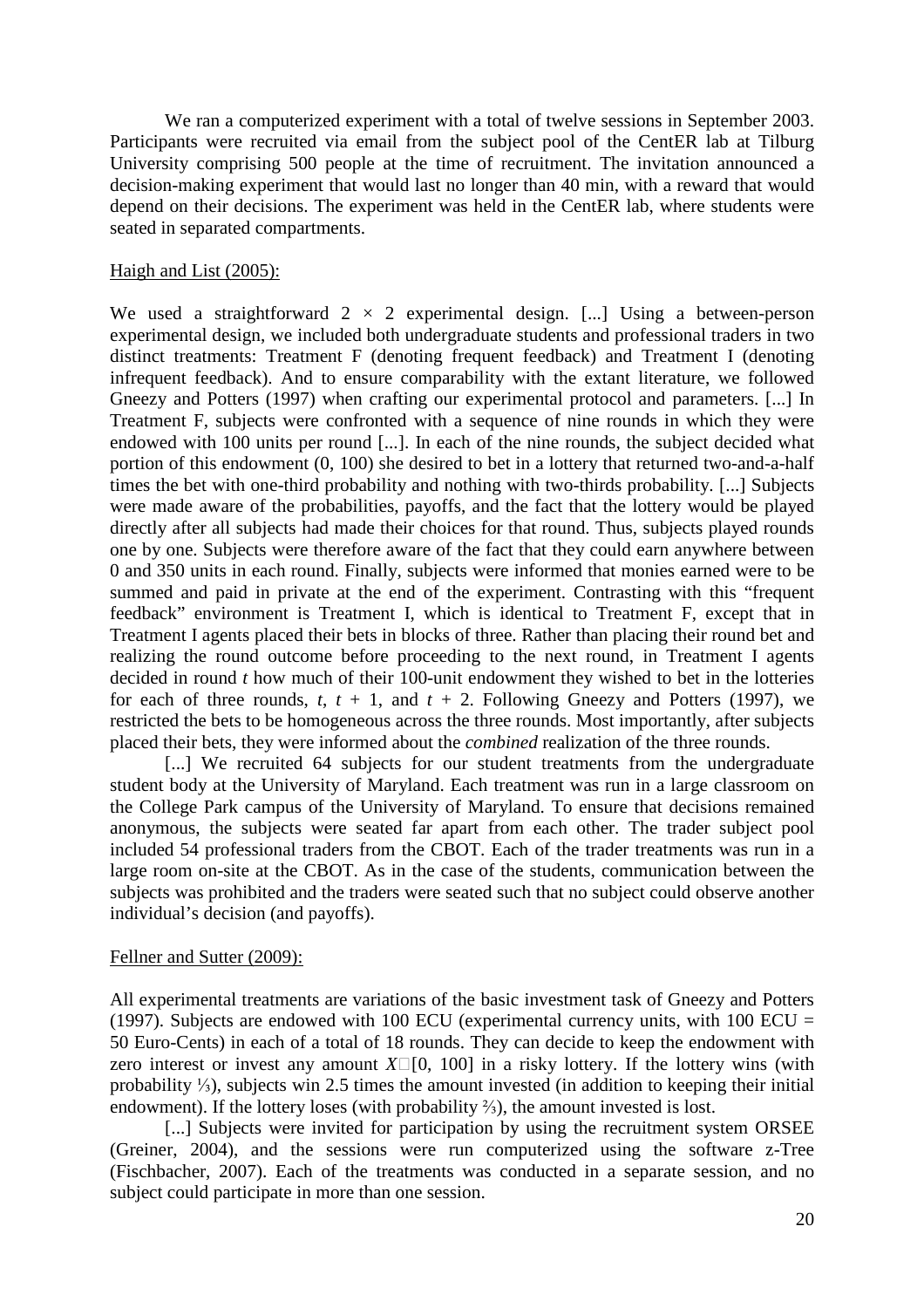We ran a computerized experiment with a total of twelve sessions in September 2003. Participants were recruited via email from the subject pool of the CentER lab at Tilburg University comprising 500 people at the time of recruitment. The invitation announced a decision-making experiment that would last no longer than 40 min, with a reward that would depend on their decisions. The experiment was held in the CentER lab, where students were seated in separated compartments.

#### Haigh and List (2005):

We used a straightforward  $2 \times 2$  experimental design. [...] Using a between-person experimental design, we included both undergraduate students and professional traders in two distinct treatments: Treatment F (denoting frequent feedback) and Treatment I (denoting infrequent feedback). And to ensure comparability with the extant literature, we followed Gneezy and Potters (1997) when crafting our experimental protocol and parameters. [...] In Treatment F, subjects were confronted with a sequence of nine rounds in which they were endowed with 100 units per round [...]. In each of the nine rounds, the subject decided what portion of this endowment (0, 100) she desired to bet in a lottery that returned two-and-a-half times the bet with one-third probability and nothing with two-thirds probability. [...] Subjects were made aware of the probabilities, payoffs, and the fact that the lottery would be played directly after all subjects had made their choices for that round. Thus, subjects played rounds one by one. Subjects were therefore aware of the fact that they could earn anywhere between 0 and 350 units in each round. Finally, subjects were informed that monies earned were to be summed and paid in private at the end of the experiment. Contrasting with this "frequent" feedback" environment is Treatment I, which is identical to Treatment F, except that in Treatment I agents placed their bets in blocks of three. Rather than placing their round bet and realizing the round outcome before proceeding to the next round, in Treatment I agents decided in round *t* how much of their 100-unit endowment they wished to bet in the lotteries for each of three rounds,  $t$ ,  $t + 1$ , and  $t + 2$ . Following Gneezy and Potters (1997), we restricted the bets to be homogeneous across the three rounds. Most importantly, after subjects placed their bets, they were informed about the *combined* realization of the three rounds.

[...] We recruited 64 subjects for our student treatments from the undergraduate student body at the University of Maryland. Each treatment was run in a large classroom on the College Park campus of the University of Maryland. To ensure that decisions remained anonymous, the subjects were seated far apart from each other. The trader subject pool included 54 professional traders from the CBOT. Each of the trader treatments was run in a large room on-site at the CBOT. As in the case of the students, communication between the subjects was prohibited and the traders were seated such that no subject could observe another individual's decision (and payoffs).

#### Fellner and Sutter (2009):

All experimental treatments are variations of the basic investment task of Gneezy and Potters (1997). Subjects are endowed with 100 ECU (experimental currency units, with 100 ECU  $=$ 50 Euro-Cents) in each of a total of 18 rounds. They can decide to keep the endowment with zero interest or invest any amount  $X\square$  [0, 100] in a risky lottery. If the lottery wins (with probability ⅓), subjects win 2.5 times the amount invested (in addition to keeping their initial endowment). If the lottery loses (with probability ⅔), the amount invested is lost.

[...] Subjects were invited for participation by using the recruitment system ORSEE (Greiner, 2004), and the sessions were run computerized using the software z-Tree (Fischbacher, 2007). Each of the treatments was conducted in a separate session, and no subject could participate in more than one session.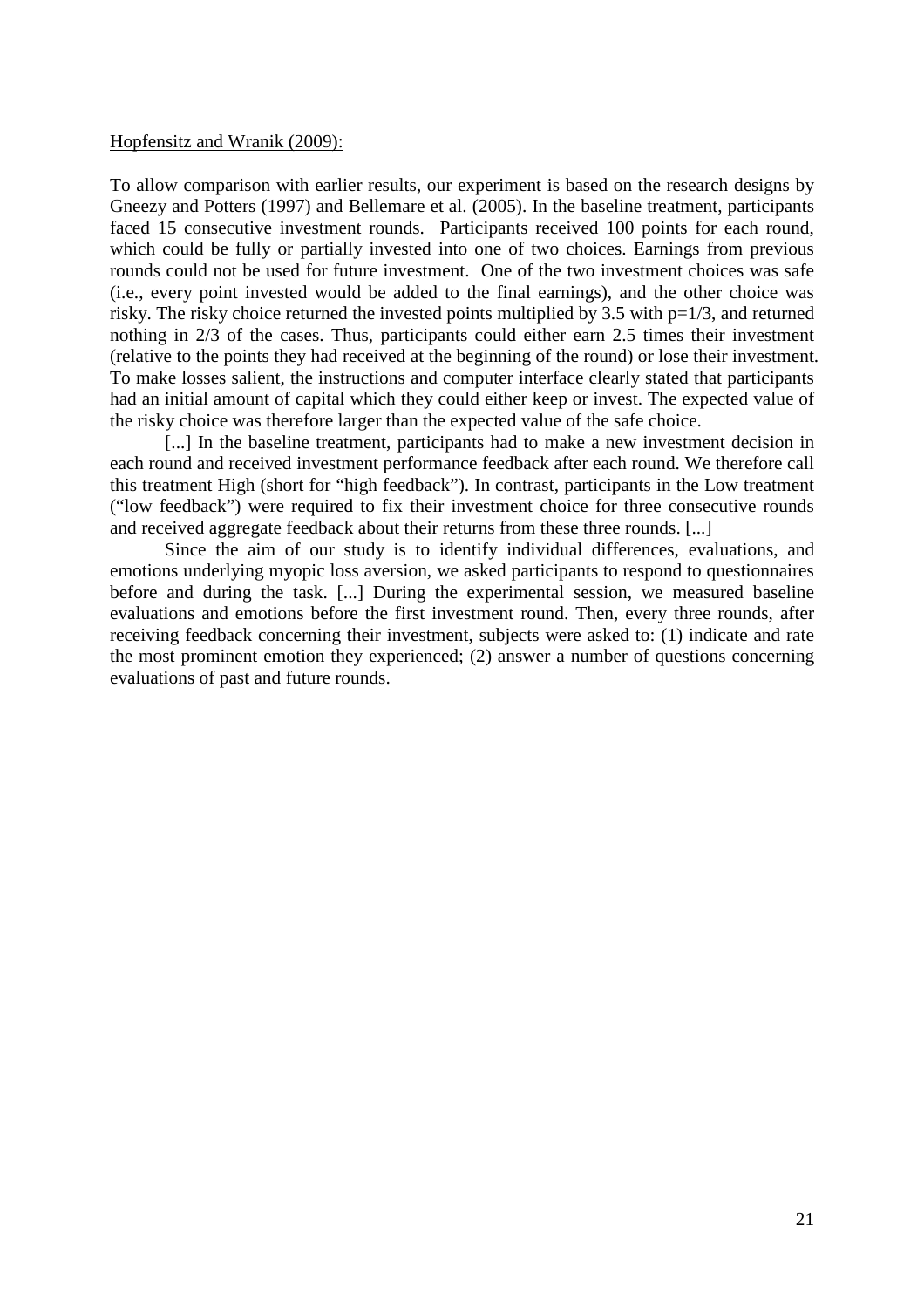#### Hopfensitz and Wranik (2009):

To allow comparison with earlier results, our experiment is based on the research designs by Gneezy and Potters (1997) and Bellemare et al. (2005). In the baseline treatment, participants faced 15 consecutive investment rounds. Participants received 100 points for each round, which could be fully or partially invested into one of two choices. Earnings from previous rounds could not be used for future investment. One of the two investment choices was safe (i.e., every point invested would be added to the final earnings), and the other choice was risky. The risky choice returned the invested points multiplied by 3.5 with p=1/3, and returned nothing in 2/3 of the cases. Thus, participants could either earn 2.5 times their investment (relative to the points they had received at the beginning of the round) or lose their investment. To make losses salient, the instructions and computer interface clearly stated that participants had an initial amount of capital which they could either keep or invest. The expected value of the risky choice was therefore larger than the expected value of the safe choice.

[...] In the baseline treatment, participants had to make a new investment decision in each round and received investment performance feedback after each round. We therefore call this treatment High (short for "high feedback"). In contrast, participants in the Low treatment ("low feedback") were required to fix their investment choice for three consecutive rounds and received aggregate feedback about their returns from these three rounds. [...]

Since the aim of our study is to identify individual differences, evaluations, and emotions underlying myopic loss aversion, we asked participants to respond to questionnaires before and during the task. [...] During the experimental session, we measured baseline evaluations and emotions before the first investment round. Then, every three rounds, after receiving feedback concerning their investment, subjects were asked to: (1) indicate and rate the most prominent emotion they experienced; (2) answer a number of questions concerning evaluations of past and future rounds.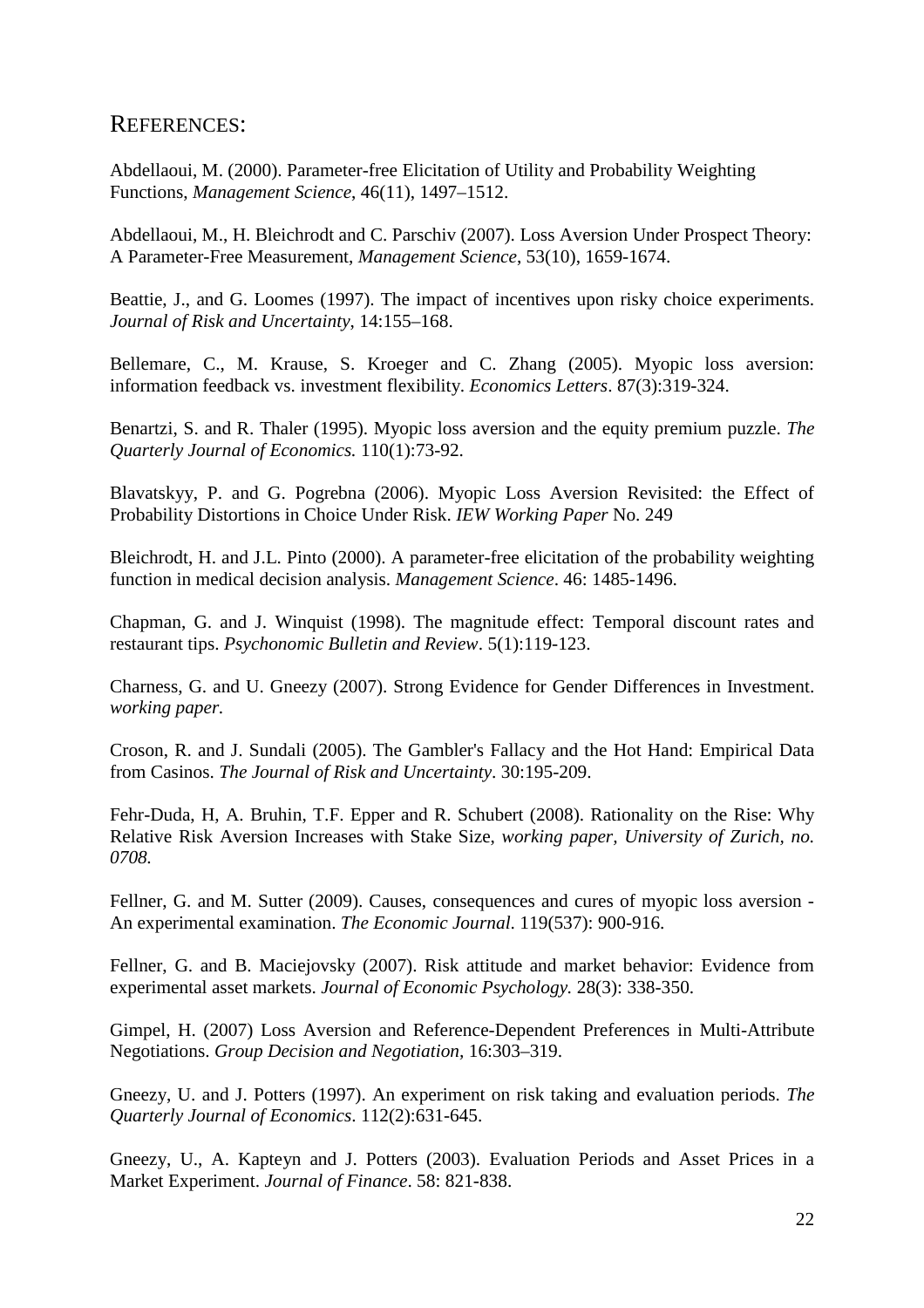#### REFERENCES:

Abdellaoui, M. (2000). Parameter-free Elicitation of Utility and Probability Weighting Functions, *Management Science*, 46(11), 1497–1512.

Abdellaoui, M., H. Bleichrodt and C. Parschiv (2007). Loss Aversion Under Prospect Theory: A Parameter-Free Measurement, *Management Science*, 53(10), 1659-1674.

Beattie, J., and G. Loomes (1997). The impact of incentives upon risky choice experiments. *Journal of Risk and Uncertainty*, 14:155–168.

Bellemare, C., M. Krause, S. Kroeger and C. Zhang (2005). Myopic loss aversion: information feedback vs. investment flexibility. *Economics Letters*. 87(3):319-324.

Benartzi, S. and R. Thaler (1995). Myopic loss aversion and the equity premium puzzle. *The Quarterly Journal of Economics.* 110(1):73-92.

Blavatskyy, P. and G. Pogrebna (2006). Myopic Loss Aversion Revisited: the Effect of Probability Distortions in Choice Under Risk. *IEW Working Paper* No. 249

Bleichrodt, H. and J.L. Pinto (2000). A parameter-free elicitation of the probability weighting function in medical decision analysis. *Management Science*. 46: 1485-1496.

Chapman, G. and J. Winquist (1998). The magnitude effect: Temporal discount rates and restaurant tips. *Psychonomic Bulletin and Review*. 5(1):119-123.

Charness, G. and U. Gneezy (2007). Strong Evidence for Gender Differences in Investment. *working paper.*

Croson, R. and J. Sundali (2005). The Gambler's Fallacy and the Hot Hand: Empirical Data from Casinos. *The Journal of Risk and Uncertainty*. 30:195-209.

Fehr-Duda, H, A. Bruhin, T.F. Epper and R. Schubert (2008). Rationality on the Rise: Why Relative Risk Aversion Increases with Stake Size, *working paper, University of Zurich, no. 0708.*

Fellner, G. and M. Sutter (2009). Causes, consequences and cures of myopic loss aversion - An experimental examination. *The Economic Journal*. 119(537): 900-916.

Fellner, G. and B. Maciejovsky (2007). Risk attitude and market behavior: Evidence from experimental asset markets. *Journal of Economic Psychology.* 28(3): 338-350.

Gimpel, H. (2007) Loss Aversion and Reference-Dependent Preferences in Multi-Attribute Negotiations. *Group Decision and Negotiation,* 16:303–319.

Gneezy, U. and J. Potters (1997). An experiment on risk taking and evaluation periods. *The Quarterly Journal of Economics*. 112(2):631-645.

Gneezy, U., A. Kapteyn and J. Potters (2003). Evaluation Periods and Asset Prices in a Market Experiment. *Journal of Finance*. 58: 821-838.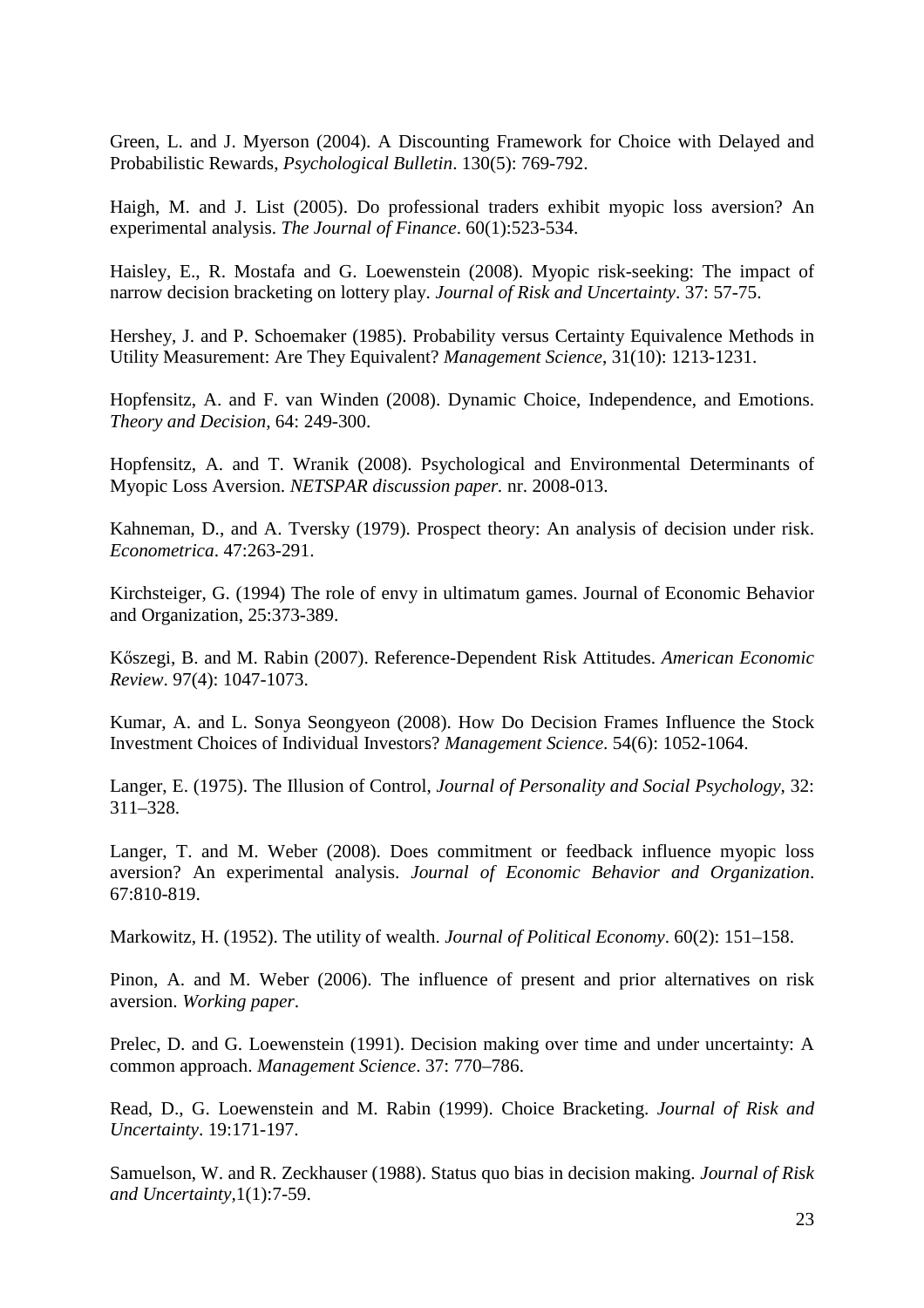Green, L. and J. Myerson (2004). A Discounting Framework for Choice with Delayed and Probabilistic Rewards, *Psychological Bulletin*. 130(5): 769-792.

Haigh, M. and J. List (2005). Do professional traders exhibit myopic loss aversion? An experimental analysis. *The Journal of Finance*. 60(1):523-534.

Haisley, E., R. Mostafa and G. Loewenstein (2008). Myopic risk-seeking: The impact of narrow decision bracketing on lottery play. *Journal of Risk and Uncertainty*. 37: 57-75.

Hershey, J. and P. Schoemaker (1985). Probability versus Certainty Equivalence Methods in Utility Measurement: Are They Equivalent? *Management Science*, 31(10): 1213-1231.

Hopfensitz, A. and F. van Winden (2008). Dynamic Choice, Independence, and Emotions. *Theory and Decision,* 64: 249-300.

Hopfensitz, A. and T. Wranik (2008). Psychological and Environmental Determinants of Myopic Loss Aversion. *NETSPAR discussion paper.* nr. 2008-013.

Kahneman, D., and A. Tversky (1979). Prospect theory: An analysis of decision under risk. *Econometrica*. 47:263-291.

Kirchsteiger, G. (1994) The role of envy in ultimatum games. Journal of Economic Behavior and Organization, 25:373-389.

Kıszegi, B. and M. Rabin (2007). Reference-Dependent Risk Attitudes. *American Economic Review*. 97(4): 1047-1073.

Kumar, A. and L. Sonya Seongyeon (2008). How Do Decision Frames Influence the Stock Investment Choices of Individual Investors? *Management Science*. 54(6): 1052-1064.

Langer, E. (1975). The Illusion of Control, *Journal of Personality and Social Psychology,* 32: 311–328.

Langer, T. and M. Weber (2008). Does commitment or feedback influence myopic loss aversion? An experimental analysis. *Journal of Economic Behavior and Organization*. 67:810-819.

Markowitz, H. (1952). The utility of wealth. *Journal of Political Economy*. 60(2): 151–158.

Pinon, A. and M. Weber (2006). The influence of present and prior alternatives on risk aversion. *Working paper*.

Prelec, D. and G. Loewenstein (1991). Decision making over time and under uncertainty: A common approach. *Management Science*. 37: 770–786.

Read, D., G. Loewenstein and M. Rabin (1999). Choice Bracketing. *Journal of Risk and Uncertainty*. 19:171-197.

Samuelson, W. and R. Zeckhauser (1988). Status quo bias in decision making. *Journal of Risk and Uncertainty,*1(1):7-59.